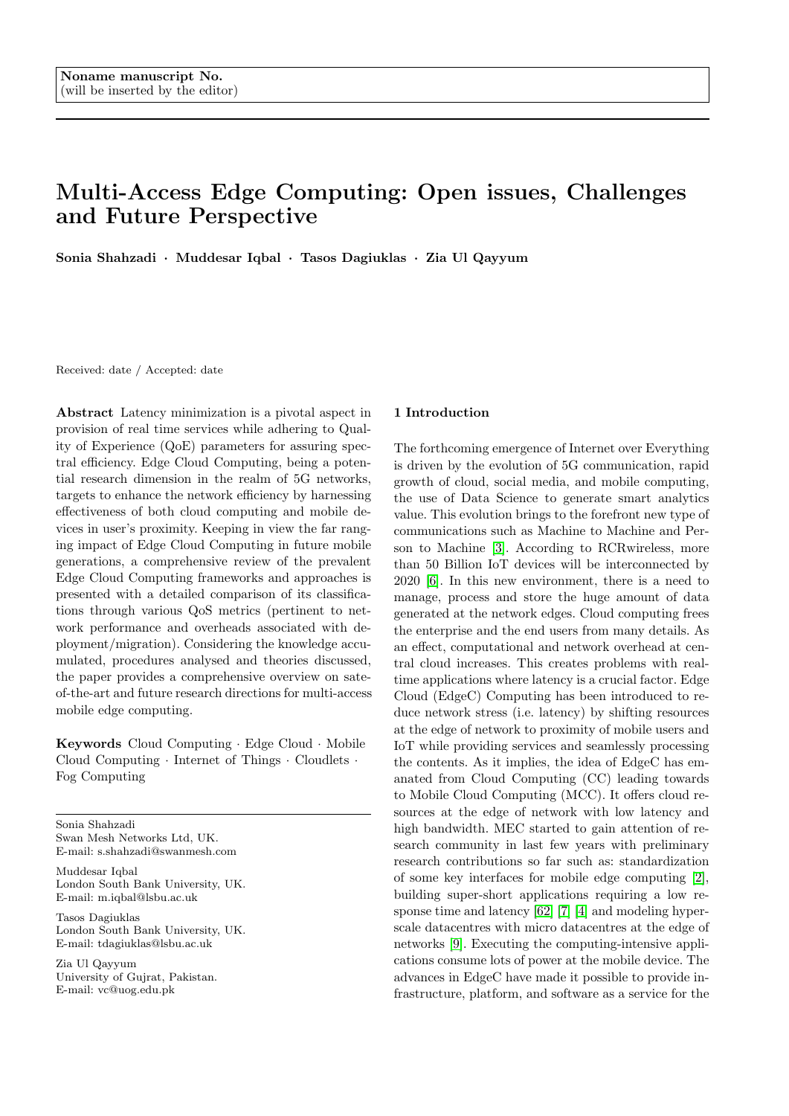# Multi-Access Edge Computing: Open issues, Challenges and Future Perspective

Sonia Shahzadi · Muddesar Iqbal · Tasos Dagiuklas · Zia Ul Qayyum

Received: date / Accepted: date

Abstract Latency minimization is a pivotal aspect in provision of real time services while adhering to Quality of Experience (QoE) parameters for assuring spectral efficiency. Edge Cloud Computing, being a potential research dimension in the realm of 5G networks, targets to enhance the network efficiency by harnessing effectiveness of both cloud computing and mobile devices in user's proximity. Keeping in view the far ranging impact of Edge Cloud Computing in future mobile generations, a comprehensive review of the prevalent Edge Cloud Computing frameworks and approaches is presented with a detailed comparison of its classifications through various QoS metrics (pertinent to network performance and overheads associated with deployment/migration). Considering the knowledge accumulated, procedures analysed and theories discussed, the paper provides a comprehensive overview on sateof-the-art and future research directions for multi-access mobile edge computing.

Keywords Cloud Computing · Edge Cloud · Mobile Cloud Computing  $\cdot$  Internet of Things  $\cdot$  Cloudlets  $\cdot$ Fog Computing

Sonia Shahzadi Swan Mesh Networks Ltd, UK. E-mail: s.shahzadi@swanmesh.com

Muddesar Iqbal London South Bank University, UK. E-mail: m.iqbal@lsbu.ac.uk

Tasos Dagiuklas London South Bank University, UK. E-mail: tdagiuklas@lsbu.ac.uk

Zia Ul Qayyum University of Gujrat, Pakistan. E-mail: vc@uog.edu.pk

#### 1 Introduction

The forthcoming emergence of Internet over Everything is driven by the evolution of 5G communication, rapid growth of cloud, social media, and mobile computing, the use of Data Science to generate smart analytics value. This evolution brings to the forefront new type of communications such as Machine to Machine and Person to Machine [\[3\]](#page-13-0). According to RCRwireless, more than 50 Billion IoT devices will be interconnected by 2020 [\[6\]](#page-13-1). In this new environment, there is a need to manage, process and store the huge amount of data generated at the network edges. Cloud computing frees the enterprise and the end users from many details. As an effect, computational and network overhead at central cloud increases. This creates problems with realtime applications where latency is a crucial factor. Edge Cloud (EdgeC) Computing has been introduced to reduce network stress (i.e. latency) by shifting resources at the edge of network to proximity of mobile users and IoT while providing services and seamlessly processing the contents. As it implies, the idea of EdgeC has emanated from Cloud Computing (CC) leading towards to Mobile Cloud Computing (MCC). It offers cloud resources at the edge of network with low latency and high bandwidth. MEC started to gain attention of research community in last few years with preliminary research contributions so far such as: standardization of some key interfaces for mobile edge computing [\[2\]](#page-13-2), building super-short applications requiring a low response time and latency [\[62\]](#page-15-0) [\[7\]](#page-13-3) [\[4\]](#page-13-4) and modeling hyperscale datacentres with micro datacentres at the edge of networks [\[9\]](#page-13-5). Executing the computing-intensive applications consume lots of power at the mobile device. The advances in EdgeC have made it possible to provide infrastructure, platform, and software as a service for the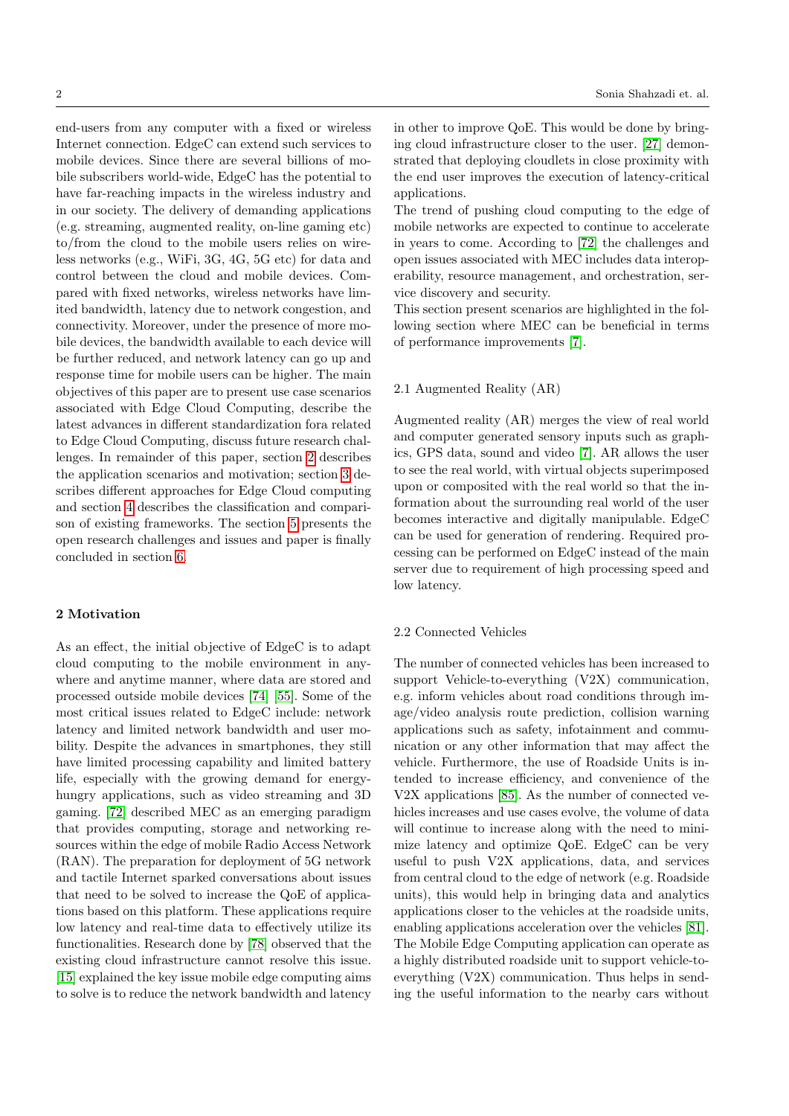end-users from any computer with a fixed or wireless Internet connection. EdgeC can extend such services to mobile devices. Since there are several billions of mobile subscribers world-wide, EdgeC has the potential to have far-reaching impacts in the wireless industry and in our society. The delivery of demanding applications (e.g. streaming, augmented reality, on-line gaming etc) to/from the cloud to the mobile users relies on wireless networks (e.g., WiFi, 3G, 4G, 5G etc) for data and control between the cloud and mobile devices. Compared with fixed networks, wireless networks have limited bandwidth, latency due to network congestion, and connectivity. Moreover, under the presence of more mobile devices, the bandwidth available to each device will be further reduced, and network latency can go up and response time for mobile users can be higher. The main objectives of this paper are to present use case scenarios associated with Edge Cloud Computing, describe the latest advances in different standardization fora related to Edge Cloud Computing, discuss future research challenges. In remainder of this paper, section [2](#page-1-0) describes the application scenarios and motivation; section [3](#page-3-0) describes different approaches for Edge Cloud computing and section [4](#page-5-0) describes the classification and comparison of existing frameworks. The section [5](#page-7-0) presents the open research challenges and issues and paper is finally concluded in section [6.](#page-7-1)

# <span id="page-1-0"></span>2 Motivation

As an effect, the initial objective of EdgeC is to adapt cloud computing to the mobile environment in anywhere and anytime manner, where data are stored and processed outside mobile devices [\[74\]](#page-16-0) [\[55\]](#page-15-1). Some of the most critical issues related to EdgeC include: network latency and limited network bandwidth and user mobility. Despite the advances in smartphones, they still have limited processing capability and limited battery life, especially with the growing demand for energyhungry applications, such as video streaming and 3D gaming. [\[72\]](#page-16-1) described MEC as an emerging paradigm that provides computing, storage and networking resources within the edge of mobile Radio Access Network (RAN). The preparation for deployment of 5G network and tactile Internet sparked conversations about issues that need to be solved to increase the QoE of applications based on this platform. These applications require low latency and real-time data to effectively utilize its functionalities. Research done by [\[78\]](#page-16-2) observed that the existing cloud infrastructure cannot resolve this issue. [\[15\]](#page-13-6) explained the key issue mobile edge computing aims to solve is to reduce the network bandwidth and latency

in other to improve QoE. This would be done by bringing cloud infrastructure closer to the user. [\[27\]](#page-14-0) demonstrated that deploying cloudlets in close proximity with the end user improves the execution of latency-critical applications.

The trend of pushing cloud computing to the edge of mobile networks are expected to continue to accelerate in years to come. According to [\[72\]](#page-16-1) the challenges and open issues associated with MEC includes data interoperability, resource management, and orchestration, service discovery and security.

This section present scenarios are highlighted in the following section where MEC can be beneficial in terms of performance improvements [\[7\]](#page-13-3).

#### 2.1 Augmented Reality (AR)

Augmented reality (AR) merges the view of real world and computer generated sensory inputs such as graphics, GPS data, sound and video [\[7\]](#page-13-3). AR allows the user to see the real world, with virtual objects superimposed upon or composited with the real world so that the information about the surrounding real world of the user becomes interactive and digitally manipulable. EdgeC can be used for generation of rendering. Required processing can be performed on EdgeC instead of the main server due to requirement of high processing speed and low latency.

## 2.2 Connected Vehicles

The number of connected vehicles has been increased to support Vehicle-to-everything (V2X) communication, e.g. inform vehicles about road conditions through image/video analysis route prediction, collision warning applications such as safety, infotainment and communication or any other information that may affect the vehicle. Furthermore, the use of Roadside Units is intended to increase efficiency, and convenience of the V2X applications [\[85\]](#page-16-3). As the number of connected vehicles increases and use cases evolve, the volume of data will continue to increase along with the need to minimize latency and optimize QoE. EdgeC can be very useful to push V2X applications, data, and services from central cloud to the edge of network (e.g. Roadside units), this would help in bringing data and analytics applications closer to the vehicles at the roadside units, enabling applications acceleration over the vehicles [\[81\]](#page-16-4). The Mobile Edge Computing application can operate as a highly distributed roadside unit to support vehicle-toeverything (V2X) communication. Thus helps in sending the useful information to the nearby cars without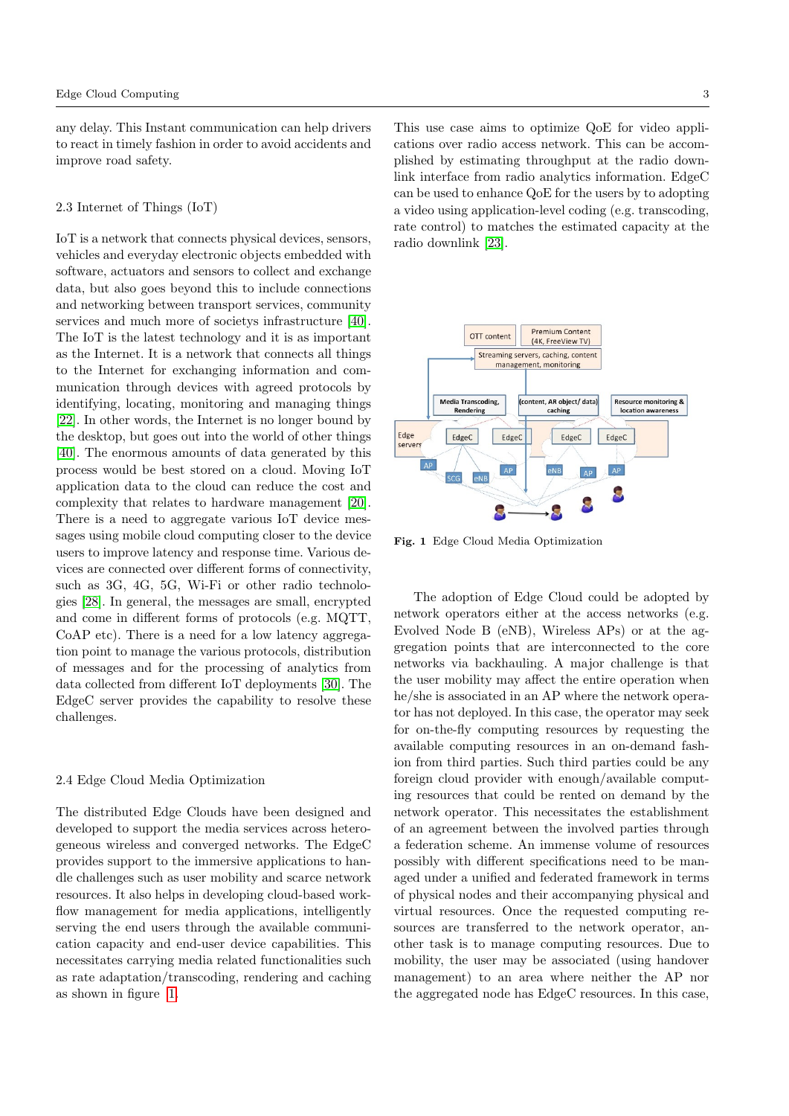any delay. This Instant communication can help drivers to react in timely fashion in order to avoid accidents and improve road safety.

#### 2.3 Internet of Things (IoT)

IoT is a network that connects physical devices, sensors, vehicles and everyday electronic objects embedded with software, actuators and sensors to collect and exchange data, but also goes beyond this to include connections and networking between transport services, community services and much more of societys infrastructure [\[40\]](#page-14-1). The IoT is the latest technology and it is as important as the Internet. It is a network that connects all things to the Internet for exchanging information and communication through devices with agreed protocols by identifying, locating, monitoring and managing things [\[22\]](#page-13-7). In other words, the Internet is no longer bound by the desktop, but goes out into the world of other things [\[40\]](#page-14-1). The enormous amounts of data generated by this process would be best stored on a cloud. Moving IoT application data to the cloud can reduce the cost and complexity that relates to hardware management [\[20\]](#page-13-8). There is a need to aggregate various IoT device messages using mobile cloud computing closer to the device users to improve latency and response time. Various devices are connected over different forms of connectivity, such as 3G, 4G, 5G, Wi-Fi or other radio technologies [\[28\]](#page-14-2). In general, the messages are small, encrypted and come in different forms of protocols (e.g. MQTT, CoAP etc). There is a need for a low latency aggregation point to manage the various protocols, distribution of messages and for the processing of analytics from data collected from different IoT deployments [\[30\]](#page-14-3). The EdgeC server provides the capability to resolve these challenges.

# 2.4 Edge Cloud Media Optimization

The distributed Edge Clouds have been designed and developed to support the media services across heterogeneous wireless and converged networks. The EdgeC provides support to the immersive applications to handle challenges such as user mobility and scarce network resources. It also helps in developing cloud-based workflow management for media applications, intelligently serving the end users through the available communication capacity and end-user device capabilities. This necessitates carrying media related functionalities such as rate adaptation/transcoding, rendering and caching as shown in figure [1.](#page-2-0)

This use case aims to optimize QoE for video applications over radio access network. This can be accomplished by estimating throughput at the radio downlink interface from radio analytics information. EdgeC can be used to enhance QoE for the users by to adopting a video using application-level coding (e.g. transcoding, rate control) to matches the estimated capacity at the radio downlink [\[23\]](#page-13-9).



<span id="page-2-0"></span>Fig. 1 Edge Cloud Media Optimization

The adoption of Edge Cloud could be adopted by network operators either at the access networks (e.g. Evolved Node B (eNB), Wireless APs) or at the aggregation points that are interconnected to the core networks via backhauling. A major challenge is that the user mobility may affect the entire operation when he/she is associated in an AP where the network operator has not deployed. In this case, the operator may seek for on-the-fly computing resources by requesting the available computing resources in an on-demand fashion from third parties. Such third parties could be any foreign cloud provider with enough/available computing resources that could be rented on demand by the network operator. This necessitates the establishment of an agreement between the involved parties through a federation scheme. An immense volume of resources possibly with different specifications need to be managed under a unified and federated framework in terms of physical nodes and their accompanying physical and virtual resources. Once the requested computing resources are transferred to the network operator, another task is to manage computing resources. Due to mobility, the user may be associated (using handover management) to an area where neither the AP nor the aggregated node has EdgeC resources. In this case,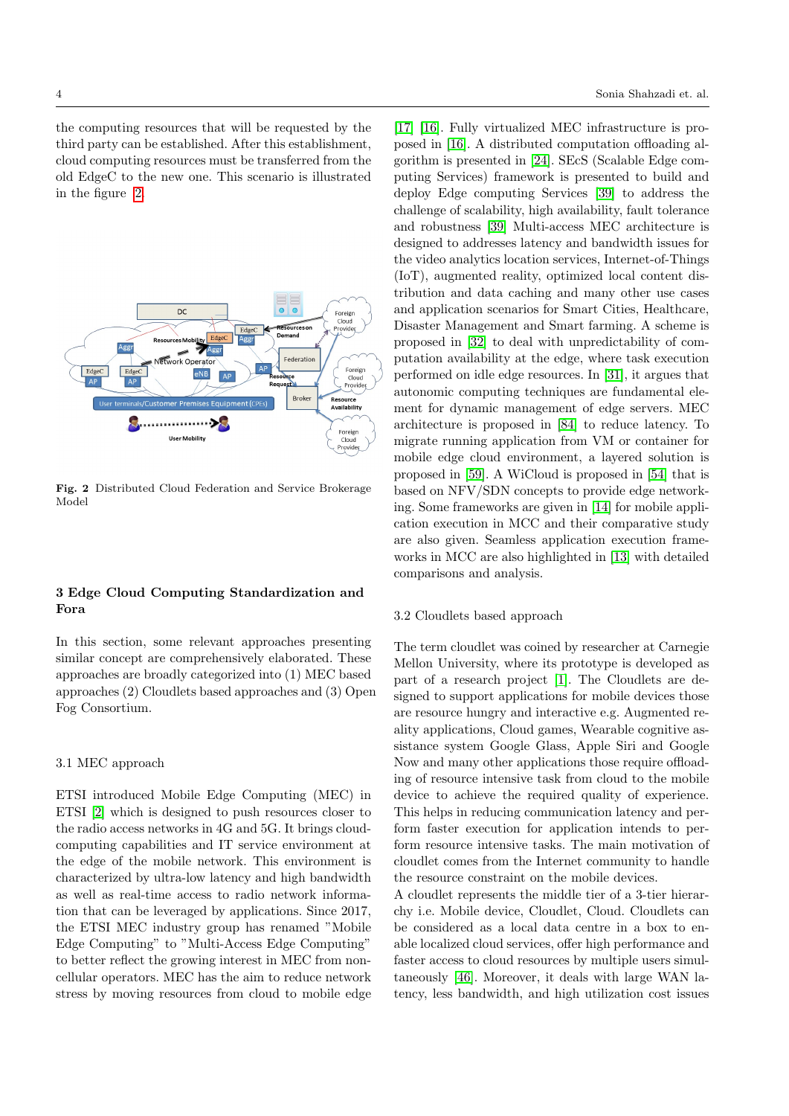the computing resources that will be requested by the third party can be established. After this establishment, cloud computing resources must be transferred from the old EdgeC to the new one. This scenario is illustrated in the figure [2.](#page-3-1)



<span id="page-3-1"></span>Fig. 2 Distributed Cloud Federation and Service Brokerage Model

# <span id="page-3-0"></span>3 Edge Cloud Computing Standardization and Fora

In this section, some relevant approaches presenting similar concept are comprehensively elaborated. These approaches are broadly categorized into (1) MEC based approaches (2) Cloudlets based approaches and (3) Open Fog Consortium.

#### 3.1 MEC approach

ETSI introduced Mobile Edge Computing (MEC) in ETSI [\[2\]](#page-13-2) which is designed to push resources closer to the radio access networks in 4G and 5G. It brings cloudcomputing capabilities and IT service environment at the edge of the mobile network. This environment is characterized by ultra-low latency and high bandwidth as well as real-time access to radio network information that can be leveraged by applications. Since 2017, the ETSI MEC industry group has renamed "Mobile Edge Computing" to "Multi-Access Edge Computing" to better reflect the growing interest in MEC from noncellular operators. MEC has the aim to reduce network stress by moving resources from cloud to mobile edge

[\[17\]](#page-13-10) [\[16\]](#page-13-11). Fully virtualized MEC infrastructure is proposed in [\[16\]](#page-13-11). A distributed computation offloading algorithm is presented in [\[24\]](#page-13-12). SEcS (Scalable Edge computing Services) framework is presented to build and deploy Edge computing Services [\[39\]](#page-14-4) to address the challenge of scalability, high availability, fault tolerance and robustness [\[39\]](#page-14-4) Multi-access MEC architecture is designed to addresses latency and bandwidth issues for the video analytics location services, Internet-of-Things (IoT), augmented reality, optimized local content distribution and data caching and many other use cases and application scenarios for Smart Cities, Healthcare, Disaster Management and Smart farming. A scheme is proposed in [\[32\]](#page-14-5) to deal with unpredictability of computation availability at the edge, where task execution performed on idle edge resources. In [\[31\]](#page-14-6), it argues that autonomic computing techniques are fundamental element for dynamic management of edge servers. MEC architecture is proposed in [\[84\]](#page-16-5) to reduce latency. To migrate running application from VM or container for mobile edge cloud environment, a layered solution is proposed in [\[59\]](#page-15-2). A WiCloud is proposed in [\[54\]](#page-15-3) that is based on NFV/SDN concepts to provide edge networking. Some frameworks are given in [\[14\]](#page-13-13) for mobile application execution in MCC and their comparative study are also given. Seamless application execution frameworks in MCC are also highlighted in [\[13\]](#page-13-14) with detailed comparisons and analysis.

#### 3.2 Cloudlets based approach

The term cloudlet was coined by researcher at Carnegie Mellon University, where its prototype is developed as part of a research project [\[1\]](#page-13-15). The Cloudlets are designed to support applications for mobile devices those are resource hungry and interactive e.g. Augmented reality applications, Cloud games, Wearable cognitive assistance system Google Glass, Apple Siri and Google Now and many other applications those require offloading of resource intensive task from cloud to the mobile device to achieve the required quality of experience. This helps in reducing communication latency and perform faster execution for application intends to perform resource intensive tasks. The main motivation of cloudlet comes from the Internet community to handle the resource constraint on the mobile devices.

A cloudlet represents the middle tier of a 3-tier hierarchy i.e. Mobile device, Cloudlet, Cloud. Cloudlets can be considered as a local data centre in a box to enable localized cloud services, offer high performance and faster access to cloud resources by multiple users simultaneously [\[46\]](#page-14-7). Moreover, it deals with large WAN latency, less bandwidth, and high utilization cost issues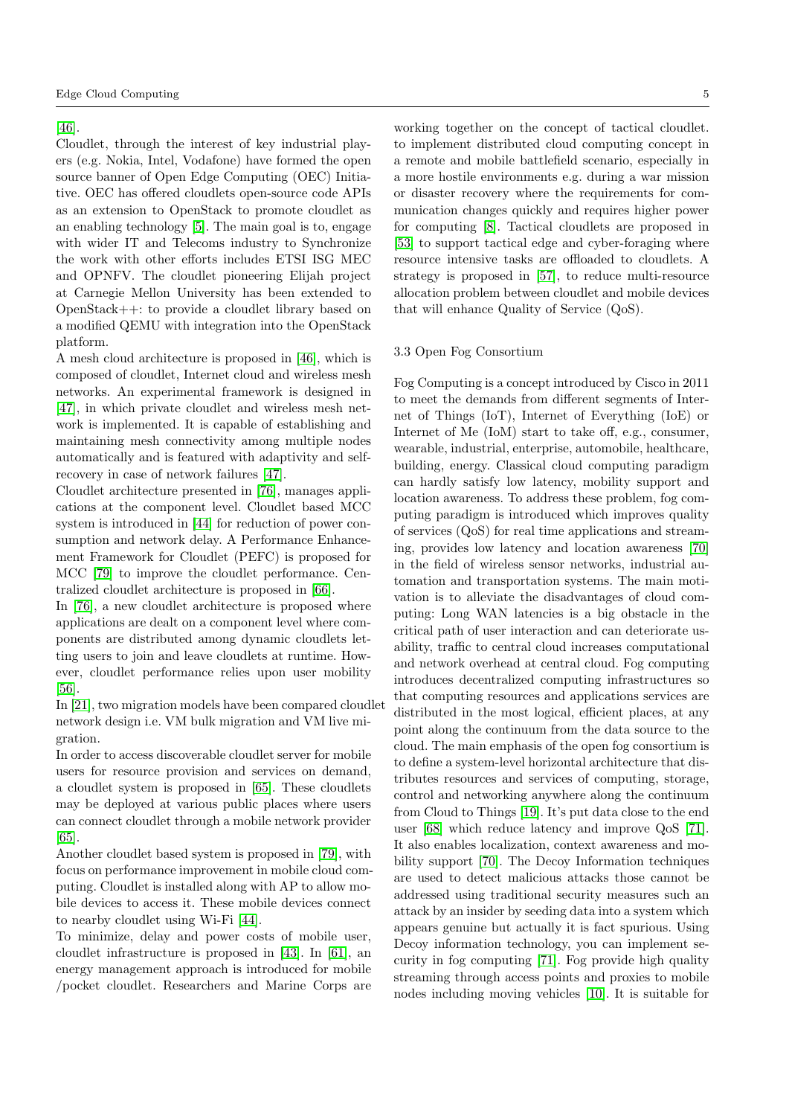#### [\[46\]](#page-14-7).

Cloudlet, through the interest of key industrial players (e.g. Nokia, Intel, Vodafone) have formed the open source banner of Open Edge Computing (OEC) Initiative. OEC has offered cloudlets open-source code APIs as an extension to OpenStack to promote cloudlet as an enabling technology [\[5\]](#page-13-16). The main goal is to, engage with wider IT and Telecoms industry to Synchronize the work with other efforts includes ETSI ISG MEC and OPNFV. The cloudlet pioneering Elijah project at Carnegie Mellon University has been extended to OpenStack++: to provide a cloudlet library based on a modified QEMU with integration into the OpenStack platform.

A mesh cloud architecture is proposed in [\[46\]](#page-14-7), which is composed of cloudlet, Internet cloud and wireless mesh networks. An experimental framework is designed in [\[47\]](#page-15-4), in which private cloudlet and wireless mesh network is implemented. It is capable of establishing and maintaining mesh connectivity among multiple nodes automatically and is featured with adaptivity and selfrecovery in case of network failures [\[47\]](#page-15-4).

Cloudlet architecture presented in [\[76\]](#page-16-6), manages applications at the component level. Cloudlet based MCC system is introduced in [\[44\]](#page-14-8) for reduction of power consumption and network delay. A Performance Enhancement Framework for Cloudlet (PEFC) is proposed for MCC [\[79\]](#page-16-7) to improve the cloudlet performance. Centralized cloudlet architecture is proposed in [\[66\]](#page-15-5).

In [\[76\]](#page-16-6), a new cloudlet architecture is proposed where applications are dealt on a component level where components are distributed among dynamic cloudlets letting users to join and leave cloudlets at runtime. However, cloudlet performance relies upon user mobility [\[56\]](#page-15-6).

In [\[21\]](#page-13-17), two migration models have been compared cloudlet network design i.e. VM bulk migration and VM live migration.

In order to access discoverable cloudlet server for mobile users for resource provision and services on demand, a cloudlet system is proposed in [\[65\]](#page-15-7). These cloudlets may be deployed at various public places where users can connect cloudlet through a mobile network provider [\[65\]](#page-15-7).

Another cloudlet based system is proposed in [\[79\]](#page-16-7), with focus on performance improvement in mobile cloud computing. Cloudlet is installed along with AP to allow mobile devices to access it. These mobile devices connect to nearby cloudlet using Wi-Fi [\[44\]](#page-14-8).

To minimize, delay and power costs of mobile user, cloudlet infrastructure is proposed in [\[43\]](#page-14-9). In [\[61\]](#page-15-8), an energy management approach is introduced for mobile /pocket cloudlet. Researchers and Marine Corps are

working together on the concept of tactical cloudlet. to implement distributed cloud computing concept in a remote and mobile battlefield scenario, especially in a more hostile environments e.g. during a war mission or disaster recovery where the requirements for communication changes quickly and requires higher power for computing [\[8\]](#page-13-18). Tactical cloudlets are proposed in [\[53\]](#page-15-9) to support tactical edge and cyber-foraging where resource intensive tasks are offloaded to cloudlets. A strategy is proposed in [\[57\]](#page-15-10), to reduce multi-resource allocation problem between cloudlet and mobile devices that will enhance Quality of Service (QoS).

#### 3.3 Open Fog Consortium

Fog Computing is a concept introduced by Cisco in 2011 to meet the demands from different segments of Internet of Things (IoT), Internet of Everything (IoE) or Internet of Me (IoM) start to take off, e.g., consumer, wearable, industrial, enterprise, automobile, healthcare, building, energy. Classical cloud computing paradigm can hardly satisfy low latency, mobility support and location awareness. To address these problem, fog computing paradigm is introduced which improves quality of services (QoS) for real time applications and streaming, provides low latency and location awareness [\[70\]](#page-16-8) in the field of wireless sensor networks, industrial automation and transportation systems. The main motivation is to alleviate the disadvantages of cloud computing: Long WAN latencies is a big obstacle in the critical path of user interaction and can deteriorate usability, traffic to central cloud increases computational and network overhead at central cloud. Fog computing introduces decentralized computing infrastructures so that computing resources and applications services are distributed in the most logical, efficient places, at any point along the continuum from the data source to the cloud. The main emphasis of the open fog consortium is to define a system-level horizontal architecture that distributes resources and services of computing, storage, control and networking anywhere along the continuum from Cloud to Things [\[19\]](#page-13-19). It's put data close to the end user [\[68\]](#page-15-11) which reduce latency and improve QoS [\[71\]](#page-16-9). It also enables localization, context awareness and mobility support [\[70\]](#page-16-8). The Decoy Information techniques are used to detect malicious attacks those cannot be addressed using traditional security measures such an attack by an insider by seeding data into a system which appears genuine but actually it is fact spurious. Using Decoy information technology, you can implement security in fog computing [\[71\]](#page-16-9). Fog provide high quality streaming through access points and proxies to mobile nodes including moving vehicles [\[10\]](#page-13-20). It is suitable for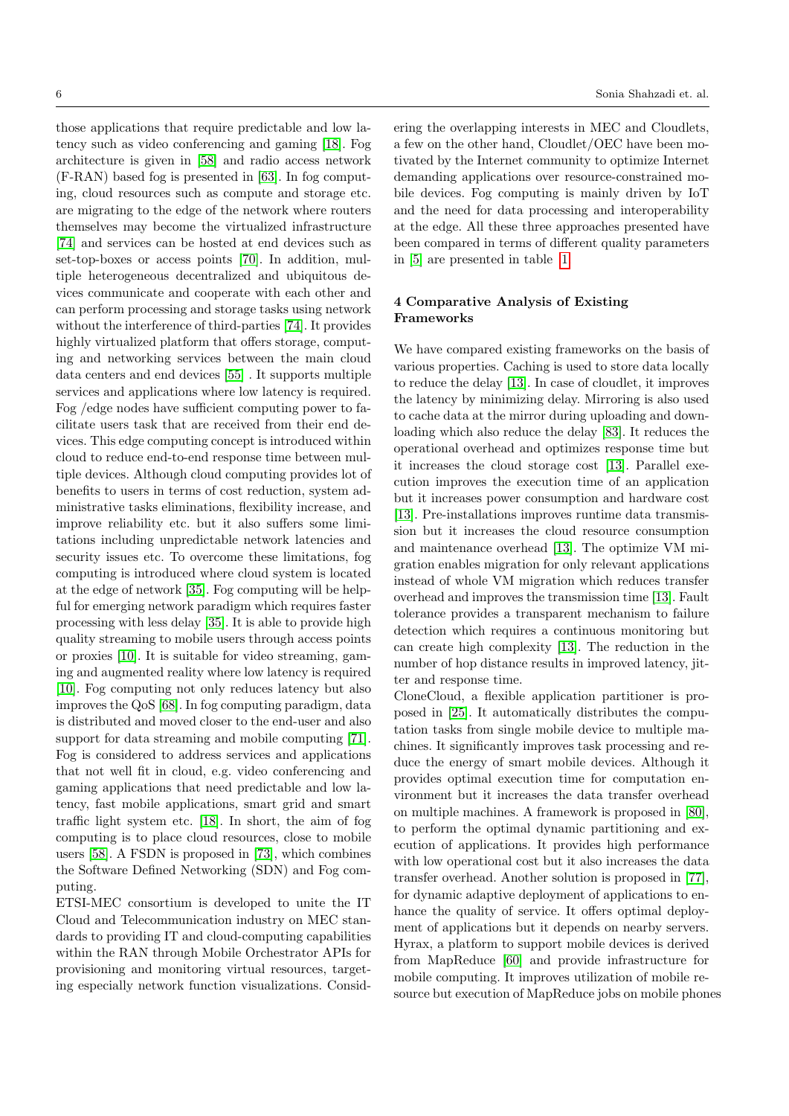those applications that require predictable and low latency such as video conferencing and gaming [\[18\]](#page-13-21). Fog architecture is given in [\[58\]](#page-15-12) and radio access network (F-RAN) based fog is presented in [\[63\]](#page-15-13). In fog computing, cloud resources such as compute and storage etc. are migrating to the edge of the network where routers themselves may become the virtualized infrastructure [\[74\]](#page-16-0) and services can be hosted at end devices such as set-top-boxes or access points [\[70\]](#page-16-8). In addition, multiple heterogeneous decentralized and ubiquitous devices communicate and cooperate with each other and can perform processing and storage tasks using network without the interference of third-parties [\[74\]](#page-16-0). It provides highly virtualized platform that offers storage, computing and networking services between the main cloud data centers and end devices [\[55\]](#page-15-1) . It supports multiple services and applications where low latency is required. Fog /edge nodes have sufficient computing power to facilitate users task that are received from their end devices. This edge computing concept is introduced within cloud to reduce end-to-end response time between multiple devices. Although cloud computing provides lot of benefits to users in terms of cost reduction, system administrative tasks eliminations, flexibility increase, and improve reliability etc. but it also suffers some limitations including unpredictable network latencies and security issues etc. To overcome these limitations, fog computing is introduced where cloud system is located at the edge of network [\[35\]](#page-14-10). Fog computing will be helpful for emerging network paradigm which requires faster processing with less delay [\[35\]](#page-14-10). It is able to provide high quality streaming to mobile users through access points or proxies [\[10\]](#page-13-20). It is suitable for video streaming, gaming and augmented reality where low latency is required [\[10\]](#page-13-20). Fog computing not only reduces latency but also improves the QoS [\[68\]](#page-15-11). In fog computing paradigm, data is distributed and moved closer to the end-user and also support for data streaming and mobile computing [\[71\]](#page-16-9). Fog is considered to address services and applications that not well fit in cloud, e.g. video conferencing and gaming applications that need predictable and low latency, fast mobile applications, smart grid and smart traffic light system etc. [\[18\]](#page-13-21). In short, the aim of fog computing is to place cloud resources, close to mobile users [\[58\]](#page-15-12). A FSDN is proposed in [\[73\]](#page-16-10), which combines the Software Defined Networking (SDN) and Fog computing.

ETSI-MEC consortium is developed to unite the IT Cloud and Telecommunication industry on MEC standards to providing IT and cloud-computing capabilities within the RAN through Mobile Orchestrator APIs for provisioning and monitoring virtual resources, targeting especially network function visualizations. Considering the overlapping interests in MEC and Cloudlets, a few on the other hand, Cloudlet/OEC have been motivated by the Internet community to optimize Internet demanding applications over resource-constrained mobile devices. Fog computing is mainly driven by IoT and the need for data processing and interoperability at the edge. All these three approaches presented have been compared in terms of different quality parameters in [\[5\]](#page-13-16) are presented in table [1.](#page-6-0)

# <span id="page-5-0"></span>4 Comparative Analysis of Existing Frameworks

We have compared existing frameworks on the basis of various properties. Caching is used to store data locally to reduce the delay [\[13\]](#page-13-14). In case of cloudlet, it improves the latency by minimizing delay. Mirroring is also used to cache data at the mirror during uploading and downloading which also reduce the delay [\[83\]](#page-16-11). It reduces the operational overhead and optimizes response time but it increases the cloud storage cost [\[13\]](#page-13-14). Parallel execution improves the execution time of an application but it increases power consumption and hardware cost [\[13\]](#page-13-14). Pre-installations improves runtime data transmission but it increases the cloud resource consumption and maintenance overhead [\[13\]](#page-13-14). The optimize VM migration enables migration for only relevant applications instead of whole VM migration which reduces transfer overhead and improves the transmission time [\[13\]](#page-13-14). Fault tolerance provides a transparent mechanism to failure detection which requires a continuous monitoring but can create high complexity [\[13\]](#page-13-14). The reduction in the number of hop distance results in improved latency, jitter and response time.

CloneCloud, a flexible application partitioner is proposed in [\[25\]](#page-13-22). It automatically distributes the computation tasks from single mobile device to multiple machines. It significantly improves task processing and reduce the energy of smart mobile devices. Although it provides optimal execution time for computation environment but it increases the data transfer overhead on multiple machines. A framework is proposed in [\[80\]](#page-16-12), to perform the optimal dynamic partitioning and execution of applications. It provides high performance with low operational cost but it also increases the data transfer overhead. Another solution is proposed in [\[77\]](#page-16-13), for dynamic adaptive deployment of applications to enhance the quality of service. It offers optimal deployment of applications but it depends on nearby servers. Hyrax, a platform to support mobile devices is derived from MapReduce [\[60\]](#page-15-14) and provide infrastructure for mobile computing. It improves utilization of mobile resource but execution of MapReduce jobs on mobile phones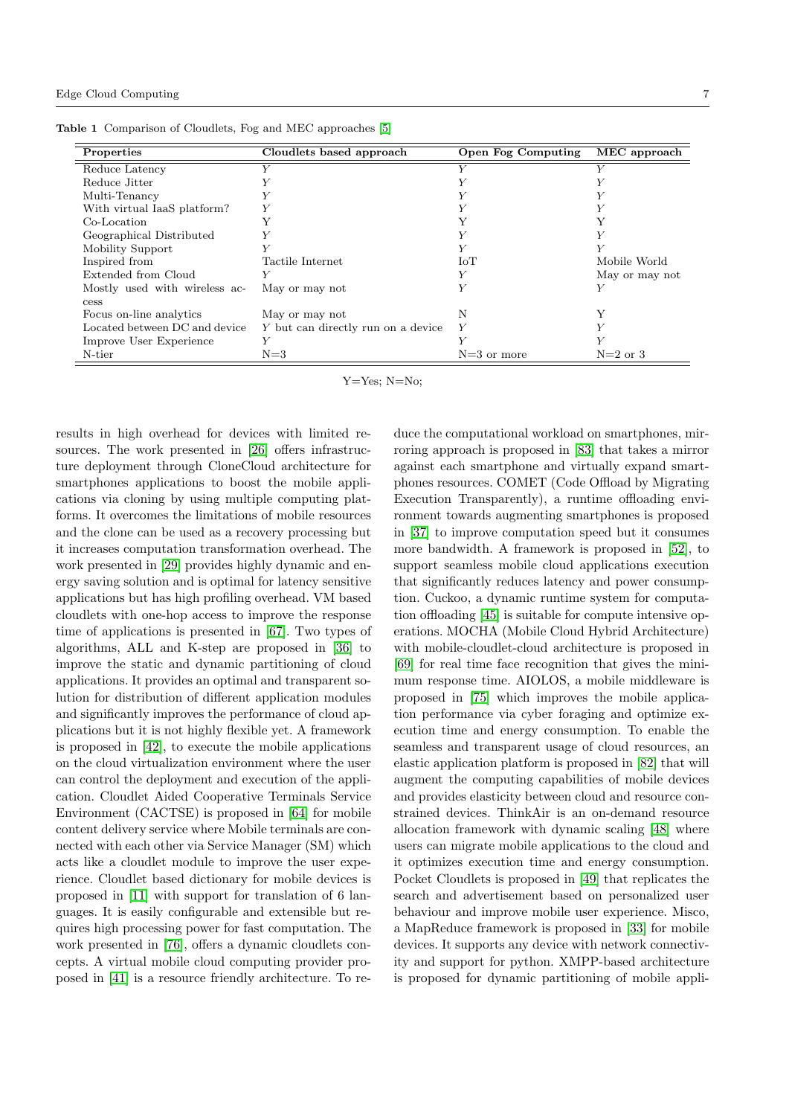<span id="page-6-0"></span>

| Properties                    | Cloudlets based approach           | Open Fog Computing | MEC approach   |
|-------------------------------|------------------------------------|--------------------|----------------|
| Reduce Latency                |                                    | $\mathbf{V}$       | Y              |
| Reduce Jitter                 |                                    |                    |                |
| Multi-Tenancy                 |                                    |                    |                |
| With virtual IaaS platform?   | Y                                  |                    |                |
| Co-Location                   |                                    |                    | Y              |
| Geographical Distributed      |                                    |                    | Y              |
| Mobility Support              |                                    |                    | Y              |
| Inspired from                 | Tactile Internet                   | IoT                | Mobile World   |
| Extended from Cloud           |                                    |                    | May or may not |
| Mostly used with wireless ac- | May or may not                     |                    | Y              |
| cess                          |                                    |                    |                |
| Focus on-line analytics       | May or may not                     | N                  | V              |
| Located between DC and device | Y but can directly run on a device |                    |                |
| Improve User Experience       | Y                                  |                    |                |
| N-tier                        | $N = 3$                            | $N=3$ or more      | $N=2$ or 3     |

Table 1 Comparison of Cloudlets, Fog and MEC approaches [\[5\]](#page-13-16)

Y=Yes; N=No;

results in high overhead for devices with limited resources. The work presented in [\[26\]](#page-14-11) offers infrastructure deployment through CloneCloud architecture for smartphones applications to boost the mobile applications via cloning by using multiple computing platforms. It overcomes the limitations of mobile resources and the clone can be used as a recovery processing but it increases computation transformation overhead. The work presented in [\[29\]](#page-14-12) provides highly dynamic and energy saving solution and is optimal for latency sensitive applications but has high profiling overhead. VM based cloudlets with one-hop access to improve the response time of applications is presented in [\[67\]](#page-15-15). Two types of algorithms, ALL and K-step are proposed in [\[36\]](#page-14-13) to improve the static and dynamic partitioning of cloud applications. It provides an optimal and transparent solution for distribution of different application modules and significantly improves the performance of cloud applications but it is not highly flexible yet. A framework is proposed in [\[42\]](#page-14-14), to execute the mobile applications on the cloud virtualization environment where the user can control the deployment and execution of the application. Cloudlet Aided Cooperative Terminals Service Environment (CACTSE) is proposed in [\[64\]](#page-15-16) for mobile content delivery service where Mobile terminals are connected with each other via Service Manager (SM) which acts like a cloudlet module to improve the user experience. Cloudlet based dictionary for mobile devices is proposed in [\[11\]](#page-13-23) with support for translation of 6 languages. It is easily configurable and extensible but requires high processing power for fast computation. The work presented in [\[76\]](#page-16-6), offers a dynamic cloudlets concepts. A virtual mobile cloud computing provider proposed in [\[41\]](#page-14-15) is a resource friendly architecture. To reduce the computational workload on smartphones, mirroring approach is proposed in [\[83\]](#page-16-11) that takes a mirror against each smartphone and virtually expand smartphones resources. COMET (Code Offload by Migrating Execution Transparently), a runtime offloading environment towards augmenting smartphones is proposed in [\[37\]](#page-14-16) to improve computation speed but it consumes more bandwidth. A framework is proposed in [\[52\]](#page-15-17), to support seamless mobile cloud applications execution that significantly reduces latency and power consumption. Cuckoo, a dynamic runtime system for computation offloading [\[45\]](#page-14-17) is suitable for compute intensive operations. MOCHA (Mobile Cloud Hybrid Architecture) with mobile-cloudlet-cloud architecture is proposed in [\[69\]](#page-16-14) for real time face recognition that gives the minimum response time. AIOLOS, a mobile middleware is proposed in [\[75\]](#page-16-15) which improves the mobile application performance via cyber foraging and optimize execution time and energy consumption. To enable the seamless and transparent usage of cloud resources, an elastic application platform is proposed in [\[82\]](#page-16-16) that will augment the computing capabilities of mobile devices and provides elasticity between cloud and resource constrained devices. ThinkAir is an on-demand resource allocation framework with dynamic scaling [\[48\]](#page-15-18) where users can migrate mobile applications to the cloud and it optimizes execution time and energy consumption. Pocket Cloudlets is proposed in [\[49\]](#page-15-19) that replicates the search and advertisement based on personalized user behaviour and improve mobile user experience. Misco, a MapReduce framework is proposed in [\[33\]](#page-14-18) for mobile devices. It supports any device with network connectivity and support for python. XMPP-based architecture is proposed for dynamic partitioning of mobile appli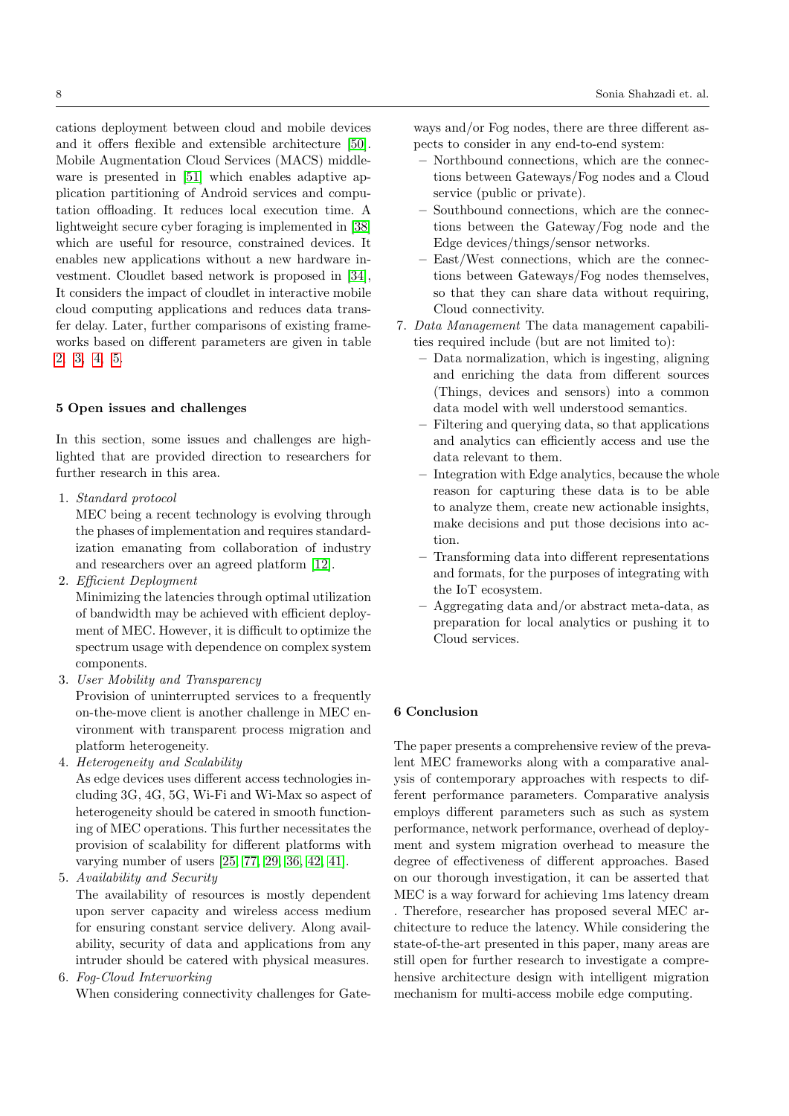cations deployment between cloud and mobile devices and it offers flexible and extensible architecture [\[50\]](#page-15-20). Mobile Augmentation Cloud Services (MACS) middleware is presented in [\[51\]](#page-15-21) which enables adaptive application partitioning of Android services and computation offloading. It reduces local execution time. A lightweight secure cyber foraging is implemented in [\[38\]](#page-14-19) which are useful for resource, constrained devices. It enables new applications without a new hardware investment. Cloudlet based network is proposed in [\[34\]](#page-14-20), It considers the impact of cloudlet in interactive mobile cloud computing applications and reduces data transfer delay. Later, further comparisons of existing frameworks based on different parameters are given in table [2,](#page-9-0) [3,](#page-10-0) [4,](#page-11-0) [5.](#page-12-0)

#### <span id="page-7-0"></span>5 Open issues and challenges

In this section, some issues and challenges are highlighted that are provided direction to researchers for further research in this area.

1. Standard protocol

MEC being a recent technology is evolving through the phases of implementation and requires standardization emanating from collaboration of industry and researchers over an agreed platform [\[12\]](#page-13-24).

2. Efficient Deployment

Minimizing the latencies through optimal utilization of bandwidth may be achieved with efficient deployment of MEC. However, it is difficult to optimize the spectrum usage with dependence on complex system components.

3. User Mobility and Transparency

Provision of uninterrupted services to a frequently on-the-move client is another challenge in MEC environment with transparent process migration and platform heterogeneity.

4. Heterogeneity and Scalability

As edge devices uses different access technologies including 3G, 4G, 5G, Wi-Fi and Wi-Max so aspect of heterogeneity should be catered in smooth functioning of MEC operations. This further necessitates the provision of scalability for different platforms with varying number of users [\[25,](#page-13-22) [77,](#page-16-13) [29,](#page-14-12) [36,](#page-14-13) [42,](#page-14-14) [41\]](#page-14-15).

5. Availability and Security

The availability of resources is mostly dependent upon server capacity and wireless access medium for ensuring constant service delivery. Along availability, security of data and applications from any intruder should be catered with physical measures.

6. Fog-Cloud Interworking

When considering connectivity challenges for Gate-

ways and/or Fog nodes, there are three different aspects to consider in any end-to-end system:

- Northbound connections, which are the connections between Gateways/Fog nodes and a Cloud service (public or private).
- Southbound connections, which are the connections between the Gateway/Fog node and the Edge devices/things/sensor networks.
- East/West connections, which are the connections between Gateways/Fog nodes themselves, so that they can share data without requiring, Cloud connectivity.
- 7. Data Management The data management capabilities required include (but are not limited to):
	- Data normalization, which is ingesting, aligning and enriching the data from different sources (Things, devices and sensors) into a common data model with well understood semantics.
	- Filtering and querying data, so that applications and analytics can efficiently access and use the data relevant to them.
	- Integration with Edge analytics, because the whole reason for capturing these data is to be able to analyze them, create new actionable insights, make decisions and put those decisions into action.
	- Transforming data into different representations and formats, for the purposes of integrating with the IoT ecosystem.
	- Aggregating data and/or abstract meta-data, as preparation for local analytics or pushing it to Cloud services.

## <span id="page-7-1"></span>6 Conclusion

The paper presents a comprehensive review of the prevalent MEC frameworks along with a comparative analysis of contemporary approaches with respects to different performance parameters. Comparative analysis employs different parameters such as such as system performance, network performance, overhead of deployment and system migration overhead to measure the degree of effectiveness of different approaches. Based on our thorough investigation, it can be asserted that MEC is a way forward for achieving 1ms latency dream . Therefore, researcher has proposed several MEC architecture to reduce the latency. While considering the state-of-the-art presented in this paper, many areas are still open for further research to investigate a comprehensive architecture design with intelligent migration mechanism for multi-access mobile edge computing.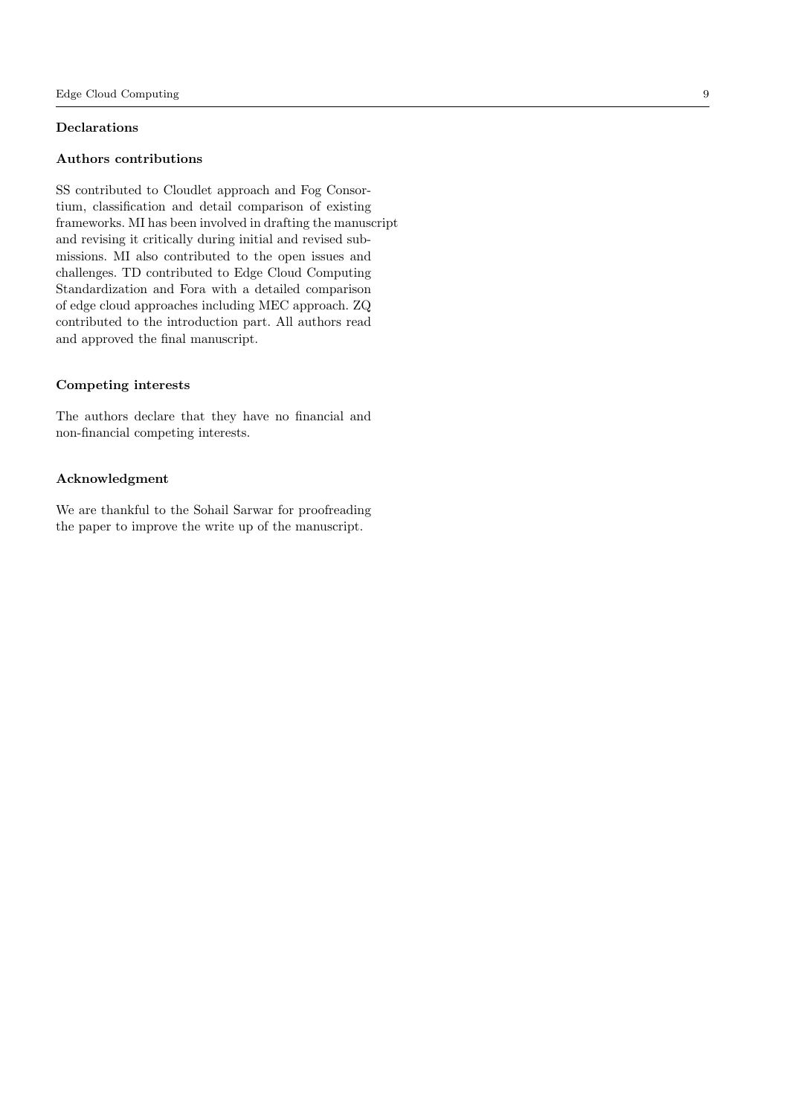# Declarations

## Authors contributions

SS contributed to Cloudlet approach and Fog Consortium, classification and detail comparison of existing frameworks. MI has been involved in drafting the manuscript and revising it critically during initial and revised submissions. MI also contributed to the open issues and challenges. TD contributed to Edge Cloud Computing Standardization and Fora with a detailed comparison of edge cloud approaches including MEC approach. ZQ contributed to the introduction part. All authors read and approved the final manuscript.

# Competing interests

The authors declare that they have no financial and non-financial competing interests.

## Acknowledgment

We are thankful to the Sohail Sarwar for proofreading the paper to improve the write up of the manuscript.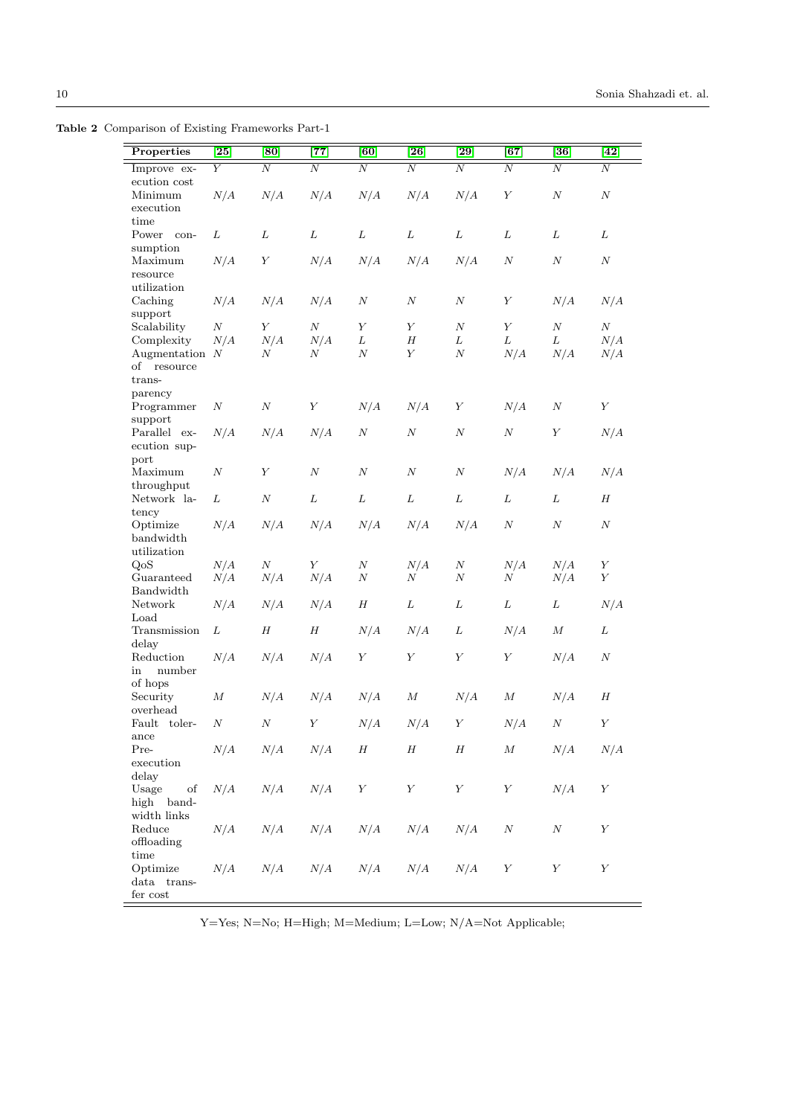Table 2 Comparison of Existing Frameworks Part-1

<span id="page-9-0"></span>

| Properties              | $\left\lceil 25\right\rceil$ | [80]             | [77]             | [60]             | $\left\lceil 26 \right\rceil$ | $\left\lceil 29\right\rceil$ | $\overline{67}$  | [36]             | $[42]$           |
|-------------------------|------------------------------|------------------|------------------|------------------|-------------------------------|------------------------------|------------------|------------------|------------------|
| Improve ex-             | Y                            | $\overline{N}$   | $\overline{N}$   | $\overline{N}$   | $\overline{N}$                | $\overline{N}$               | N                | $\overline{N}$   | $\overline{N}$   |
| $\rm{ecution\ cost}$    |                              |                  |                  |                  |                               |                              |                  |                  |                  |
| Minimum                 | N/A                          | N/A              | N/A              | N/A              | N/A                           | N/A                          | $\boldsymbol{Y}$ | $\cal N$         | $\cal N$         |
| execution               |                              |                  |                  |                  |                               |                              |                  |                  |                  |
| time<br>Power con-      | L                            | L                | L                | $\cal L$         | L                             | $\cal L$                     | L                | L                | L                |
| sumption                |                              |                  |                  |                  |                               |                              |                  |                  |                  |
| Maximum                 | N/A                          | $\boldsymbol{Y}$ | N/A              | N/A              | N/A                           | N/A                          | $\cal N$         | $\cal N$         | $\cal N$         |
| resource                |                              |                  |                  |                  |                               |                              |                  |                  |                  |
| utilization             |                              |                  |                  |                  |                               |                              |                  |                  |                  |
| Caching                 | N/A                          | N/A              | N/A              | $\cal N$         | $\cal N$                      | $\cal N$                     | $\boldsymbol{Y}$ | N/A              | N/A              |
| support                 |                              |                  |                  |                  |                               |                              |                  |                  |                  |
| Scalability             | $\boldsymbol{N}$             | $\boldsymbol{Y}$ | $\cal N$         | $\boldsymbol{Y}$ | $\boldsymbol{Y}$              | $\cal N$                     | $\boldsymbol{Y}$ | $\cal N$         | $\cal N$         |
| Complexity              | N/A                          | N/A              | N/A              | L                | $\boldsymbol{H}$              | L                            | L                | L                | N/A              |
| Augmentation $N$        |                              | $\,N$            | $\,N$            | $\,N$            | Y                             | $\cal N$                     | N/A              | N/A              | N/A              |
| resource<br>of          |                              |                  |                  |                  |                               |                              |                  |                  |                  |
| trans-                  |                              |                  |                  |                  |                               |                              |                  |                  |                  |
| parency                 |                              |                  |                  |                  |                               |                              |                  |                  |                  |
| Programmer              | $\cal N$                     | $\cal N$         | $\boldsymbol{Y}$ | N/A              | N/A                           | $\boldsymbol{Y}$             | N/A              | $\cal N$         | $\boldsymbol{Y}$ |
| support<br>Parallel ex- | N/A                          | N/A              | N/A              | $\cal N$         | $\cal N$                      | $\cal N$                     | $\cal N$         | $\boldsymbol{Y}$ | N/A              |
| ecution sup-            |                              |                  |                  |                  |                               |                              |                  |                  |                  |
| port                    |                              |                  |                  |                  |                               |                              |                  |                  |                  |
| Maximum                 | $\cal N$                     | $\boldsymbol{Y}$ | $\cal N$         | $\cal N$         | $\cal N$                      | $\cal N$                     | N/A              | N/A              | N/A              |
| throughput              |                              |                  |                  |                  |                               |                              |                  |                  |                  |
| Network la-             | L                            | $\cal N$         | L                | L                | L                             | L                            | L                | L                | $H_{\rm}$        |
| tency                   |                              |                  |                  |                  |                               |                              |                  |                  |                  |
| Optimize                | N/A                          | N/A              | N/A              | N/A              | N/A                           | N/A                          | $\cal N$         | $\cal N$         | $\cal N$         |
| bandwidth               |                              |                  |                  |                  |                               |                              |                  |                  |                  |
| utilization             |                              |                  |                  |                  |                               |                              |                  |                  |                  |
| QoS                     | N/A                          | $\cal N$         | $\boldsymbol{Y}$ | $\cal N$         | N/A                           | $\cal N$                     | N/A              | N/A              | $\boldsymbol{Y}$ |
| Guaranteed              | N/A                          | N/A              | N/A              | $\boldsymbol{N}$ | N                             | N                            | $\cal N$         | N/A              | Y                |
| Bandwidth<br>Network    |                              |                  |                  | $\boldsymbol{H}$ | L                             | L                            | L                | L                |                  |
| Load                    | N/A                          | N/A              | N/A              |                  |                               |                              |                  |                  | N/A              |
| Transmission            | L                            | $\boldsymbol{H}$ | $\boldsymbol{H}$ | N/A              | N/A                           | L                            | N/A              | $\cal M$         | L                |
| delay                   |                              |                  |                  |                  |                               |                              |                  |                  |                  |
| Reduction               | N/A                          | N/A              | N/A              | $\boldsymbol{Y}$ | $\boldsymbol{Y}$              | $\boldsymbol{Y}$             | $\boldsymbol{Y}$ | N/A              | $\cal N$         |
| number<br>in            |                              |                  |                  |                  |                               |                              |                  |                  |                  |
| of hops                 |                              |                  |                  |                  |                               |                              |                  |                  |                  |
| Security                | М                            | N/A              | N/A              | N/A              | $\cal M$                      | N/A                          | $\cal M$         | N/A              | $H_{\rm}$        |
| overhead                |                              |                  |                  |                  |                               |                              |                  |                  |                  |
| Fault toler-            | $\cal N$                     | $\cal N$         | $\boldsymbol{Y}$ | N/A              | N/A                           | $\boldsymbol{Y}$             | N/A              | $\cal N$         | $\boldsymbol{Y}$ |
| ance<br>Pre-            | N/A                          | N/A              | N/A              | H                | $\boldsymbol{H}$              | $\boldsymbol{H}$             | $\cal M$         | N/A              | N/A              |
| execution               |                              |                  |                  |                  |                               |                              |                  |                  |                  |
| delay                   |                              |                  |                  |                  |                               |                              |                  |                  |                  |
| Usage<br>of             | N/A                          | N/A              | N/A              | $\boldsymbol{Y}$ | $\boldsymbol{Y}$              | $\boldsymbol{Y}$             | $\boldsymbol{Y}$ | N/A              | $\boldsymbol{Y}$ |
| high band-              |                              |                  |                  |                  |                               |                              |                  |                  |                  |
| width links             |                              |                  |                  |                  |                               |                              |                  |                  |                  |
| Reduce                  | N/A                          | N/A              | N/A              | N/A              | N/A                           | N/A                          | $\cal N$         | $\cal N$         | $\boldsymbol{Y}$ |
| offloading              |                              |                  |                  |                  |                               |                              |                  |                  |                  |
| time                    |                              |                  |                  |                  |                               |                              |                  |                  |                  |
| Optimize                | N/A                          | N/A              | ${\cal N}/A$     | N/A              | N/A                           | N/A                          | $\boldsymbol{Y}$ | $\boldsymbol{Y}$ | $\boldsymbol{Y}$ |
| data trans-             |                              |                  |                  |                  |                               |                              |                  |                  |                  |
| fer cost                |                              |                  |                  |                  |                               |                              |                  |                  |                  |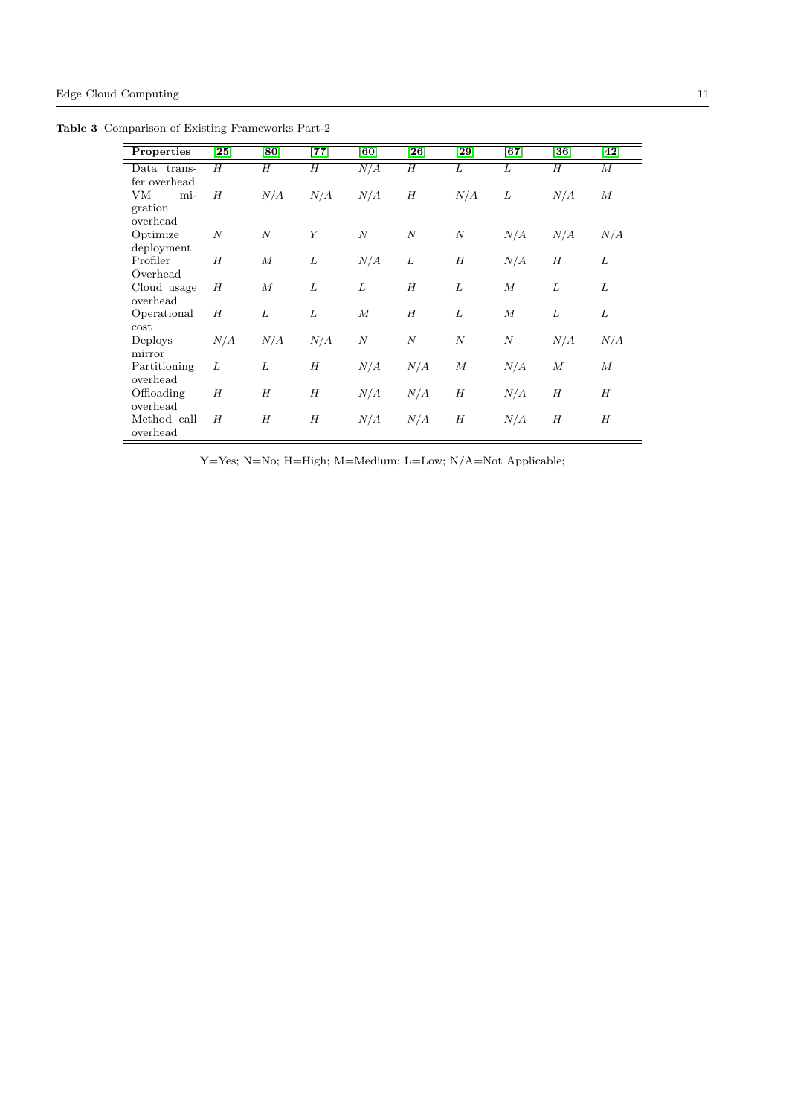Table 3 Comparison of Existing Frameworks Part-2

<span id="page-10-0"></span>

| Properties   | $\left[ 25\right]$ | [80]             | $\left[77\right]$ | [60]             | $\left[ 26\right]$ | $\left[ 29\right]$ | [67]             | $\bm{[36]}$ | $\left[ 42\right]$ |
|--------------|--------------------|------------------|-------------------|------------------|--------------------|--------------------|------------------|-------------|--------------------|
|              |                    |                  |                   |                  |                    |                    |                  |             |                    |
| Data trans-  | H                  | Н                | H                 | N/A              | H                  | L                  | L                | Н           | $\boldsymbol{M}$   |
| fer overhead |                    |                  |                   |                  |                    |                    |                  |             |                    |
| VM<br>mi-    | H                  | N/A              | N/A               | N/A              | H                  | N/A                | L                | N/A         | $\boldsymbol{M}$   |
| gration      |                    |                  |                   |                  |                    |                    |                  |             |                    |
| overhead     |                    |                  |                   |                  |                    |                    |                  |             |                    |
| Optimize     | $\boldsymbol{N}$   | $\overline{N}$   | Y                 | $\boldsymbol{N}$ | $\cal N$           | $\boldsymbol{N}$   | N/A              | N/A         | N/A                |
| deployment   |                    |                  |                   |                  |                    |                    |                  |             |                    |
| Profiler     | H                  | $\boldsymbol{M}$ | L                 | N/A              | L                  | H                  | N/A              | Н           | L                  |
| Overhead     |                    |                  |                   |                  |                    |                    |                  |             |                    |
| Cloud usage  | H                  | $\boldsymbol{M}$ | L                 | L                | H                  | L                  | $\boldsymbol{M}$ | L           | L                  |
| overhead     |                    |                  |                   |                  |                    |                    |                  |             |                    |
| Operational  | H                  | L                | L                 | $\boldsymbol{M}$ | H                  | L                  | $\boldsymbol{M}$ | L           | L                  |
| cost         |                    |                  |                   |                  |                    |                    |                  |             |                    |
| Deploys      | N/A                | N/A              | N/A               | $\boldsymbol{N}$ | $\boldsymbol{N}$   | $\boldsymbol{N}$   | $\boldsymbol{N}$ | N/A         | N/A                |
| mirror       |                    |                  |                   |                  |                    |                    |                  |             |                    |
| Partitioning | L                  | L                | H                 | N/A              | N/A                | $\boldsymbol{M}$   | N/A              | $\cal M$    | $\boldsymbol{M}$   |
| overhead     |                    |                  |                   |                  |                    |                    |                  |             |                    |
| Offloading   | H                  | H                | H                 | N/A              | N/A                | H                  | N/A              | H           | H                  |
| overhead     |                    |                  |                   |                  |                    |                    |                  |             |                    |
| Method call  | H                  | H                | H                 | N/A              | N/A                | H                  | N/A              | H           | Н                  |
| overhead     |                    |                  |                   |                  |                    |                    |                  |             |                    |

L,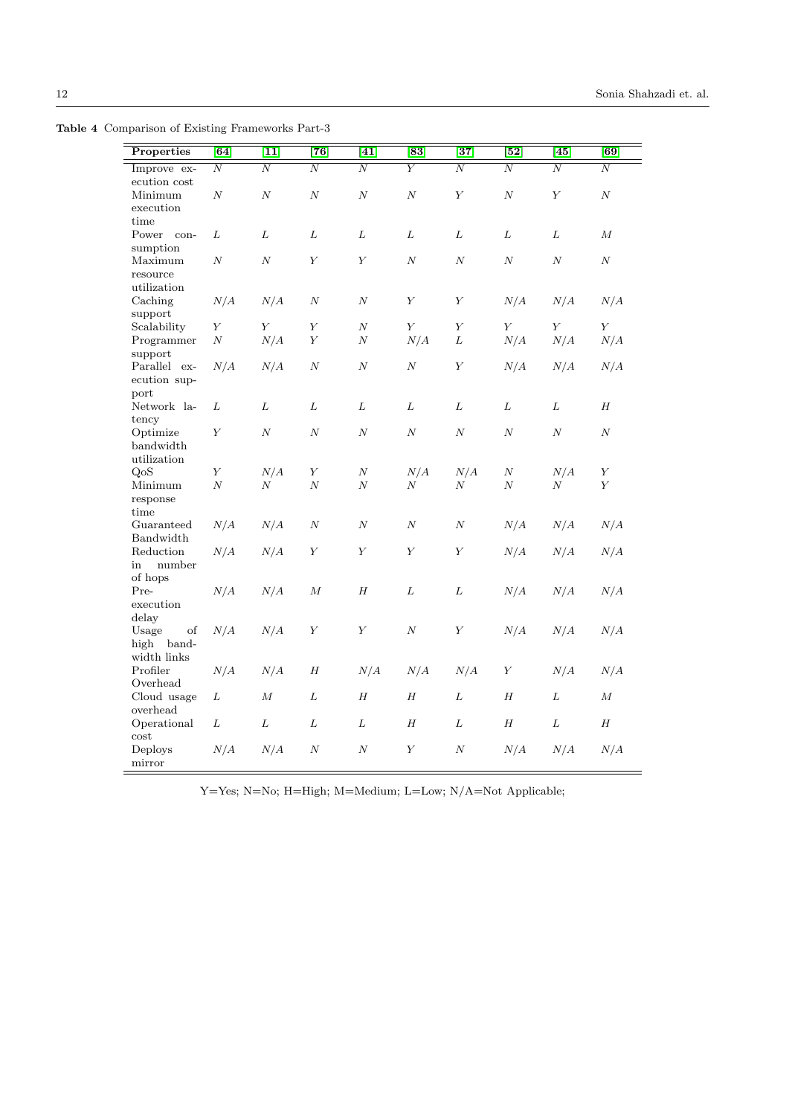Table 4 Comparison of Existing Frameworks Part-3

<span id="page-11-0"></span>

| Properties                                   | [64]             | $[11]$           | $\overline{[76]}$ | $\overline{[41]}$ | $\overline{[83]}$ | $\overline{[37]}$ | $\overline{[52]}$ | $\overline{[45]}$ | $\overline{[69]}$ |
|----------------------------------------------|------------------|------------------|-------------------|-------------------|-------------------|-------------------|-------------------|-------------------|-------------------|
| Improve ex-                                  | $\boldsymbol{N}$ | $\boldsymbol{N}$ | $\boldsymbol{N}$  | $\overline{N}$    | Y                 | $\boldsymbol{N}$  | N                 | $\overline{N}$    | $\boldsymbol{N}$  |
| $\rm{ecution\ cost}$<br>Minimum<br>execution | $\cal N$         | $\cal N$         | $\cal N$          | $\cal N$          | $\cal N$          | $\boldsymbol{Y}$  | $\cal N$          | $\boldsymbol{Y}$  | $\cal N$          |
| time<br>Power con-<br>sumption               | L                | $\cal L$         | L                 | L                 | $\cal L$          | ${\cal L}$        | L                 | L                 | $\cal M$          |
| Maximum<br>resource<br>utilization           | $\cal N$         | $\cal N$         | $\boldsymbol{Y}$  | $\boldsymbol{Y}$  | $\cal N$          | $\cal N$          | $\cal N$          | $\cal N$          | $\,N$             |
| Caching<br>support                           | N/A              | N/A              | $\boldsymbol{N}$  | $\cal N$          | $\boldsymbol{Y}$  | $\boldsymbol{Y}$  | N/A               | N/A               | N/A               |
| Scalability                                  | Y                | $\boldsymbol{Y}$ | $\boldsymbol{Y}$  | $\cal N$          | Y                 | Y                 | $\boldsymbol{Y}$  | Y                 | Y                 |
| Programmer<br>support                        | $\cal N$         | N/A              | $\boldsymbol{Y}$  | $\cal N$          | N/A               | L                 | N/A               | N/A               | N/A               |
| Parallel ex-<br>ecution sup-<br>port         | N/A              | N/A              | $\cal N$          | $\boldsymbol{N}$  | $\cal N$          | $\boldsymbol{Y}$  | N/A               | N/A               | N/A               |
| Network la-<br>tency                         | L                | $\cal L$         | L                 | $\cal L$          | ${\cal L}$        | $\cal L$          | $\cal L$          | $\cal L$          | $\boldsymbol{H}$  |
| Optimize<br>bandwidth<br>utilization         | Y                | $\boldsymbol{N}$ | $\boldsymbol{N}$  | $\boldsymbol{N}$  | $\cal N$          | $\boldsymbol{N}$  | $\boldsymbol{N}$  | $\boldsymbol{N}$  | $\boldsymbol{N}$  |
| QoS                                          | $\boldsymbol{Y}$ | N/A              | $\boldsymbol{Y}$  | $\cal N$          | N/A               | N/A               | $\,N$             | N/A               | $\boldsymbol{Y}$  |
| Minimum<br>response<br>time                  | $\boldsymbol{N}$ | $\boldsymbol{N}$ | $\boldsymbol{N}$  | $\boldsymbol{N}$  | $\boldsymbol{N}$  | $\boldsymbol{N}$  | $\boldsymbol{N}$  | $\boldsymbol{N}$  | Y                 |
| Guaranteed<br>Bandwidth                      | N/A              | N/A              | $\cal N$          | $\boldsymbol{N}$  | $\cal N$          | $\boldsymbol{N}$  | N/A               | N/A               | N/A               |
| Reduction<br>in<br>number<br>of hops         | N/A              | N/A              | $\boldsymbol{Y}$  | $\boldsymbol{Y}$  | $\boldsymbol{Y}$  | $\boldsymbol{Y}$  | N/A               | N/A               | N/A               |
| Pre-<br>execution<br>delay                   | N/A              | N/A              | $\boldsymbol{M}$  | H                 | L                 | $\cal L$          | N/A               | N/A               | N/A               |
| Usage<br>of<br>high<br>band-<br>width links  | N/A              | N/A              | Υ                 | $\boldsymbol{Y}$  | $\cal N$          | $\boldsymbol{Y}$  | N/A               | N/A               | N/A               |
| Profiler<br>Overhead                         | N/A              | N/A              | H                 | N/A               | N/A               | N/A               | Y                 | N/A               | N/A               |
| Cloud usage<br>overhead                      | L                | $\cal M$         | L                 | H                 | H                 | L                 | $\boldsymbol{H}$  | L                 | $\boldsymbol{M}$  |
| Operational<br>cost                          | L                | ${\cal L}$       | ${\cal L}$        | L                 | Η                 | L                 | $\boldsymbol{H}$  | $\cal L$          | $\boldsymbol{H}$  |
| Deploys<br>mirror                            | N/A              | N/A              | $\boldsymbol{N}$  | $\cal N$          | $\boldsymbol{Y}$  | $\boldsymbol{N}$  | N/A               | N/A               | N/A               |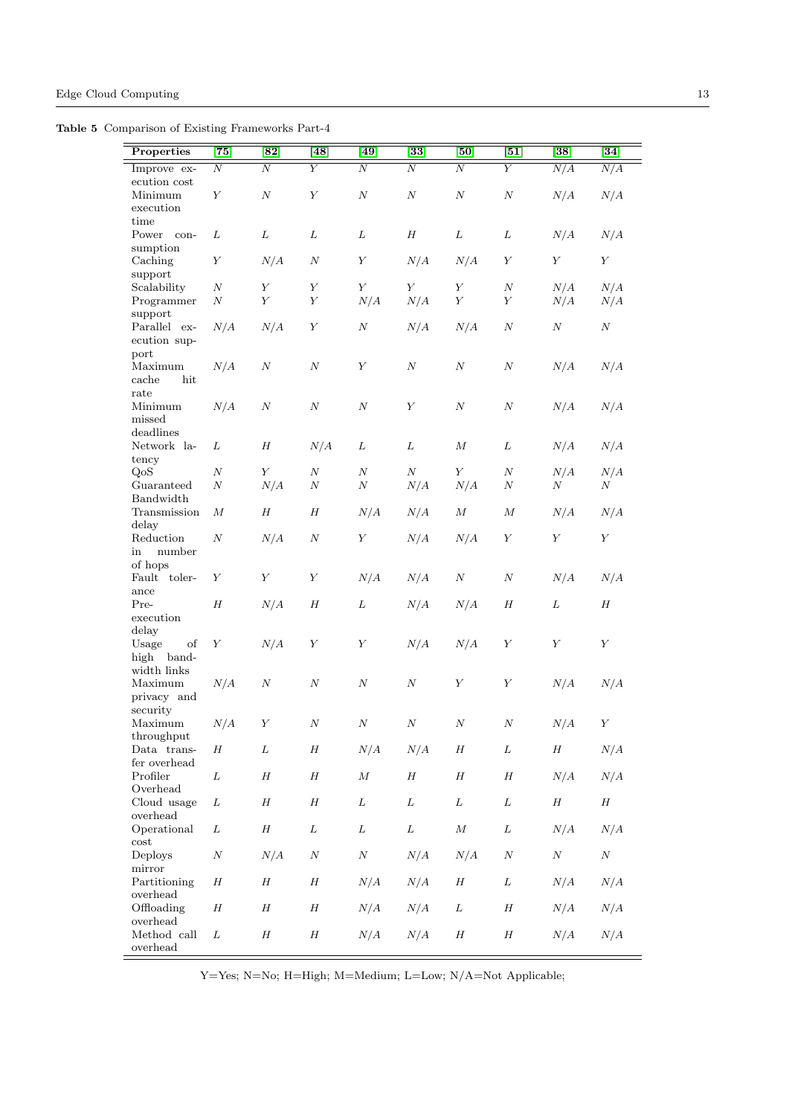Table 5 Comparison of Existing Frameworks Part-4

<span id="page-12-0"></span>

| Properties                                  | $\overline{[75]}$ | [82]             | [48]             | $\left[49\right]$ | $\bm{[33]}$      | [50]             | $\left[51\right]$ | $[38]$           | $[34]$           |
|---------------------------------------------|-------------------|------------------|------------------|-------------------|------------------|------------------|-------------------|------------------|------------------|
| Improve ex-                                 | $\overline{N}$    | $\overline{N}$   | Υ                | $\overline{N}$    | N                | Ν                | $\overline{Y}$    | N/A              | N/A              |
| ecution cost<br>Minimum                     | $\boldsymbol{Y}$  | $\cal N$         | $\boldsymbol{Y}$ | $\cal N$          | $\cal N$         | $\cal N$         | $\cal N$          | N/A              | N/A              |
| execution<br>time                           |                   |                  |                  |                   |                  |                  |                   |                  |                  |
| Power con-<br>sumption                      | L                 | L                | L                | L                 | $\boldsymbol{H}$ | $\cal L$         | L                 | ${\cal N}/A$     | ${\cal N}/A$     |
| Caching                                     | $\boldsymbol{Y}$  | N/A              | $\cal N$         | $\boldsymbol{Y}$  | N/A              | N/A              | $\boldsymbol{Y}$  | $\boldsymbol{Y}$ | $\boldsymbol{Y}$ |
| support<br>Scalability                      | $\cal N$          | $\boldsymbol{Y}$ | $\boldsymbol{Y}$ | $\boldsymbol{Y}$  | $\boldsymbol{Y}$ | Y                | $_{N}$            | N/A              | N/A              |
| Programmer<br>support                       | $\cal N$          | $\boldsymbol{Y}$ | $\boldsymbol{Y}$ | N/A               | N/A              | $\boldsymbol{Y}$ | $\boldsymbol{Y}$  | N/A              | N/A              |
| Parallel ex-<br>ecution sup-<br>port        | N/A               | N/A              | $\boldsymbol{Y}$ | $\cal N$          | N/A              | N/A              | $\cal N$          | $\cal N$         | $\cal N$         |
| Maximum<br>hit<br>cache<br>rate             | N/A               | $\boldsymbol{N}$ | $\cal N$         | Υ                 | $\cal N$         | $\cal N$         | $\cal N$          | N/A              | N/A              |
| Minimum<br>missed<br>deadlines              | N/A               | $\cal N$         | $\cal N$         | $\cal N$          | $\boldsymbol{Y}$ | $\cal N$         | $\cal N$          | N/A              | N/A              |
| Network la-<br>tency                        | L                 | $\boldsymbol{H}$ | N/A              | L                 | L                | $\cal M$         | L                 | N/A              | N/A              |
| QoS                                         | $_{N}$            | $\boldsymbol{Y}$ | $\cal N$         | $\boldsymbol{N}$  | $\cal N$         | $\boldsymbol{Y}$ | Ν                 | N/A              | N/A              |
| Guaranteed<br>Bandwidth                     | $_{N}$            | N/A              | $\boldsymbol{N}$ | $\cal N$          | N/A              | N/A              | $\cal N$          | $\cal N$         | $\boldsymbol{N}$ |
| Transmission<br>delay                       | $\cal M$          | $\boldsymbol{H}$ | H                | N/A               | N/A              | $\cal M$         | $\cal M$          | N/A              | N/A              |
| Reduction<br>number<br>in                   | $\cal N$          | N/A              | $\cal N$         | $\boldsymbol{Y}$  | N/A              | N/A              | $\boldsymbol{Y}$  | $\boldsymbol{Y}$ | $\boldsymbol{Y}$ |
| of hops<br>Fault toler-<br>ance             | Υ                 | $\boldsymbol{Y}$ | $\boldsymbol{Y}$ | N/A               | N/A              | $\cal N$         | $\cal N$          | N/A              | N/A              |
| Pre-<br>$\,$ execution<br>delay             | $\boldsymbol{H}$  | N/A              | $\boldsymbol{H}$ | L                 | N/A              | N/A              | $\boldsymbol{H}$  | L                | $\boldsymbol{H}$ |
| Usage<br>of<br>high<br>band-<br>width links | $\boldsymbol{Y}$  | N/A              | $\boldsymbol{Y}$ | $\boldsymbol{Y}$  | N/A              | N/A              | $\boldsymbol{Y}$  | $\boldsymbol{Y}$ | $\boldsymbol{Y}$ |
| Maximum<br>privacy and                      | N/A               | $\boldsymbol{N}$ | $\cal N$         | $\cal N$          | $\cal N$         | $\boldsymbol{Y}$ | $\boldsymbol{Y}$  | N/A              | N/A              |
| security<br>Maximum                         | N/A               | $\boldsymbol{Y}$ | $\cal N$         | $\cal N$          | $\cal N$         | $\cal N$         | $\cal N$          | N/A              | $\boldsymbol{Y}$ |
| throughput<br>Data trans-<br>fer overhead   | $\boldsymbol{H}$  | L                | $\boldsymbol{H}$ | N/A               | N/A              | $\boldsymbol{H}$ | L                 | $\boldsymbol{H}$ | N/A              |
| Profiler<br>Overhead                        | L                 | $\boldsymbol{H}$ | H                | $\cal M$          | $\boldsymbol{H}$ | $\boldsymbol{H}$ | $\boldsymbol{H}$  | N/A              | N/A              |
| Cloud usage<br>$\,$ overhead $\,$           | L                 | $\boldsymbol{H}$ | $\boldsymbol{H}$ | L                 | L                | L                | L                 | $\boldsymbol{H}$ | $\boldsymbol{H}$ |
| Operational<br>cost                         | L                 | $\boldsymbol{H}$ | ${\cal L}$       | L                 | $\cal L$         | ${\cal M}$       | ${\cal L}$        | N/A              | N/A              |
| Deploys                                     | $\cal N$          | N/A              | $\cal N$         | $\cal N$          | N/A              | N/A              | $\cal N$          | $\cal N$         | $\boldsymbol{N}$ |
| mirror<br>Partitioning<br>overhead          | $\boldsymbol{H}$  | $\boldsymbol{H}$ | $\boldsymbol{H}$ | N/A               | N/A              | $\boldsymbol{H}$ | L                 | N/A              | N/A              |
| Offloading<br>overhead                      | $\boldsymbol{H}$  | $\boldsymbol{H}$ | $\boldsymbol{H}$ | N/A               | N/A              | L                | $\boldsymbol{H}$  | N/A              | N/A              |
| Method call<br>overhead                     | L                 | $\boldsymbol{H}$ | $\boldsymbol{H}$ | N/A               | N/A              | $\boldsymbol{H}$ | $\boldsymbol{H}$  | N/A              | N/A              |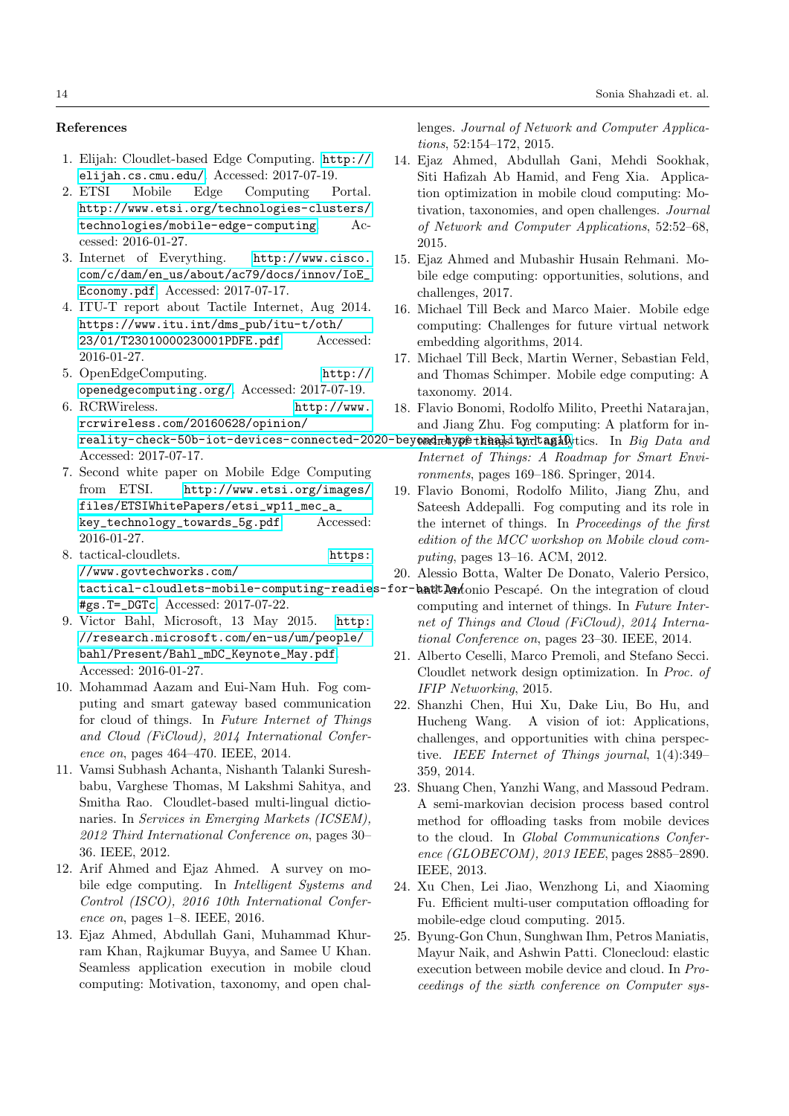# References

- <span id="page-13-15"></span>1. Elijah: Cloudlet-based Edge Computing. [http://](http://elijah.cs.cmu.edu/) [elijah.cs.cmu.edu/](http://elijah.cs.cmu.edu/). Accessed: 2017-07-19.
- <span id="page-13-2"></span>2. ETSI Mobile Edge Computing Portal. [http://www.etsi.org/technologies-clusters/]( http://www.etsi.org/technologies-clusters/technologies/mobile-edge-computing) [technologies/mobile-edge-computing]( http://www.etsi.org/technologies-clusters/technologies/mobile-edge-computing). Accessed: 2016-01-27.
- <span id="page-13-0"></span>3. Internet of Everything. [http://www.cisco.]( http://www.cisco.com/c/dam/en_us/about/ac79/docs/innov/IoE_Economy.pdf) [com/c/dam/en\\_us/about/ac79/docs/innov/IoE\\_]( http://www.cisco.com/c/dam/en_us/about/ac79/docs/innov/IoE_Economy.pdf) [Economy.pdf]( http://www.cisco.com/c/dam/en_us/about/ac79/docs/innov/IoE_Economy.pdf). Accessed: 2017-07-17.
- <span id="page-13-4"></span>4. ITU-T report about Tactile Internet, Aug 2014. [https://www.itu.int/dms\\_pub/itu-t/oth/](https://www.itu.int/dms_pub/itu-t/oth/23/01/T23010000230001PDFE.pdf) [23/01/T23010000230001PDFE.pdf](https://www.itu.int/dms_pub/itu-t/oth/23/01/T23010000230001PDFE.pdf). Accessed: 2016-01-27.
- <span id="page-13-16"></span>5. OpenEdgeComputing. [http://](http://openedgecomputing.org/) [openedgecomputing.org/](http://openedgecomputing.org/). Accessed: 2017-07-19.
- <span id="page-13-1"></span>6. RCRWireless. [http://www.]( http://www.rcrwireless.com/20160628/opinion/reality-check-50b-iot-devices-connected-2020-beyond-hype-reality-tag10) [rcrwireless.com/20160628/opinion/]( http://www.rcrwireless.com/20160628/opinion/reality-check-50b-iot-devices-connected-2020-beyond-hype-reality-tag10)  ${\tt reality-check-50b-iot-devices-connected-2020-bey}$  and  ${\tt w}$  the  ${\tt dy}$  thing  ${\tt dy}$  the  ${\tt dy}$  ching  $Data$  and Accessed: 2017-07-17.
- <span id="page-13-3"></span>7. Second white paper on Mobile Edge Computing from ETSI. [http://www.etsi.org/images/]( http://www.etsi.org/images/files/ETSIWhitePapers/etsi_wp11_mec_a_key_technology_towards_5g.pdf ) [files/ETSIWhitePapers/etsi\\_wp11\\_mec\\_a\\_]( http://www.etsi.org/images/files/ETSIWhitePapers/etsi_wp11_mec_a_key_technology_towards_5g.pdf ) [key\\_technology\\_towards\\_5g.pdf]( http://www.etsi.org/images/files/ETSIWhitePapers/etsi_wp11_mec_a_key_technology_towards_5g.pdf ). Accessed: 2016-01-27.
- <span id="page-13-18"></span>8. tactical-cloudlets. [https:](https://www.govtechworks.com/tactical-cloudlets-mobile-computing-readies-for-battle/#gs.T=_DGTc) [//www.govtechworks.com/](https://www.govtechworks.com/tactical-cloudlets-mobile-computing-readies-for-battle/#gs.T=_DGTc) [tactical-cloudlets-mobile-computing-readie](https://www.govtechworks.com/tactical-cloudlets-mobile-computing-readies-for-battle/#gs.T=_DGTc)s-for-bath Antonio Pescapé. On the integration of cloud [#gs.T=\\_DGTc](https://www.govtechworks.com/tactical-cloudlets-mobile-computing-readies-for-battle/#gs.T=_DGTc). Accessed: 2017-07-22.
- <span id="page-13-5"></span>9. Victor Bahl, Microsoft, 13 May 2015. [http:](http://research.microsoft.com/en-us/um/people/bahl/Present/Bahl_mDC_Keynote_May.pdf) [//research.microsoft.com/en-us/um/people/](http://research.microsoft.com/en-us/um/people/bahl/Present/Bahl_mDC_Keynote_May.pdf) [bahl/Present/Bahl\\_mDC\\_Keynote\\_May.pdf](http://research.microsoft.com/en-us/um/people/bahl/Present/Bahl_mDC_Keynote_May.pdf). Accessed: 2016-01-27.
- <span id="page-13-20"></span>10. Mohammad Aazam and Eui-Nam Huh. Fog computing and smart gateway based communication for cloud of things. In Future Internet of Things and Cloud (FiCloud), 2014 International Conference on, pages 464–470. IEEE, 2014.
- <span id="page-13-23"></span>11. Vamsi Subhash Achanta, Nishanth Talanki Sureshbabu, Varghese Thomas, M Lakshmi Sahitya, and Smitha Rao. Cloudlet-based multi-lingual dictionaries. In Services in Emerging Markets (ICSEM), 2012 Third International Conference on, pages 30– 36. IEEE, 2012.
- <span id="page-13-24"></span>12. Arif Ahmed and Ejaz Ahmed. A survey on mobile edge computing. In Intelligent Systems and Control (ISCO), 2016 10th International Conference on, pages 1–8. IEEE, 2016.
- <span id="page-13-14"></span>13. Ejaz Ahmed, Abdullah Gani, Muhammad Khurram Khan, Rajkumar Buyya, and Samee U Khan. Seamless application execution in mobile cloud computing: Motivation, taxonomy, and open chal-

lenges. Journal of Network and Computer Applications, 52:154–172, 2015.

- <span id="page-13-13"></span>14. Ejaz Ahmed, Abdullah Gani, Mehdi Sookhak, Siti Hafizah Ab Hamid, and Feng Xia. Application optimization in mobile cloud computing: Motivation, taxonomies, and open challenges. Journal of Network and Computer Applications, 52:52–68, 2015.
- <span id="page-13-6"></span>15. Ejaz Ahmed and Mubashir Husain Rehmani. Mobile edge computing: opportunities, solutions, and challenges, 2017.
- <span id="page-13-11"></span>16. Michael Till Beck and Marco Maier. Mobile edge computing: Challenges for future virtual network embedding algorithms, 2014.
- <span id="page-13-10"></span>17. Michael Till Beck, Martin Werner, Sebastian Feld, and Thomas Schimper. Mobile edge computing: A taxonomy. 2014.
- <span id="page-13-21"></span>18. Flavio Bonomi, Rodolfo Milito, Preethi Natarajan, and Jiang Zhu. Fog computing: A platform for in-
- Internet of Things: A Roadmap for Smart Environments, pages 169–186. Springer, 2014.
- <span id="page-13-19"></span>19. Flavio Bonomi, Rodolfo Milito, Jiang Zhu, and Sateesh Addepalli. Fog computing and its role in the internet of things. In Proceedings of the first edition of the MCC workshop on Mobile cloud computing, pages 13–16. ACM, 2012.
- <span id="page-13-8"></span>20. Alessio Botta, Walter De Donato, Valerio Persico,
- computing and internet of things. In Future Internet of Things and Cloud (FiCloud), 2014 International Conference on, pages 23–30. IEEE, 2014.
- <span id="page-13-17"></span>21. Alberto Ceselli, Marco Premoli, and Stefano Secci. Cloudlet network design optimization. In Proc. of IFIP Networking, 2015.
- <span id="page-13-7"></span>22. Shanzhi Chen, Hui Xu, Dake Liu, Bo Hu, and Hucheng Wang. A vision of iot: Applications, challenges, and opportunities with china perspective. IEEE Internet of Things journal, 1(4):349– 359, 2014.
- <span id="page-13-9"></span>23. Shuang Chen, Yanzhi Wang, and Massoud Pedram. A semi-markovian decision process based control method for offloading tasks from mobile devices to the cloud. In Global Communications Conference (GLOBECOM), 2013 IEEE, pages 2885–2890. IEEE, 2013.
- <span id="page-13-12"></span>24. Xu Chen, Lei Jiao, Wenzhong Li, and Xiaoming Fu. Efficient multi-user computation offloading for mobile-edge cloud computing. 2015.
- <span id="page-13-22"></span>25. Byung-Gon Chun, Sunghwan Ihm, Petros Maniatis, Mayur Naik, and Ashwin Patti. Clonecloud: elastic execution between mobile device and cloud. In Proceedings of the sixth conference on Computer sys-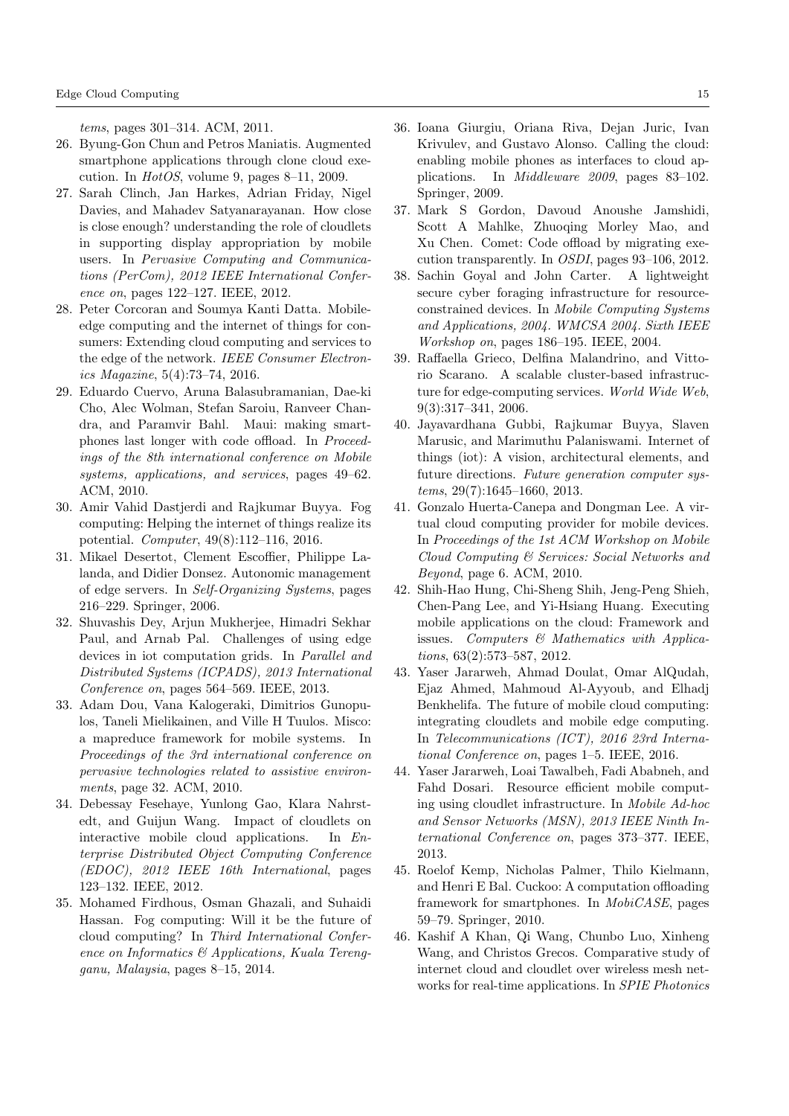tems, pages 301–314. ACM, 2011.

- <span id="page-14-11"></span>26. Byung-Gon Chun and Petros Maniatis. Augmented smartphone applications through clone cloud execution. In *HotOS*, volume 9, pages  $8-11$ , 2009.
- <span id="page-14-0"></span>27. Sarah Clinch, Jan Harkes, Adrian Friday, Nigel Davies, and Mahadev Satyanarayanan. How close is close enough? understanding the role of cloudlets in supporting display appropriation by mobile users. In Pervasive Computing and Communications (PerCom), 2012 IEEE International Conference on, pages 122–127. IEEE, 2012.
- <span id="page-14-2"></span>28. Peter Corcoran and Soumya Kanti Datta. Mobileedge computing and the internet of things for consumers: Extending cloud computing and services to the edge of the network. IEEE Consumer Electronics Magazine, 5(4):73–74, 2016.
- <span id="page-14-12"></span>29. Eduardo Cuervo, Aruna Balasubramanian, Dae-ki Cho, Alec Wolman, Stefan Saroiu, Ranveer Chandra, and Paramvir Bahl. Maui: making smartphones last longer with code offload. In Proceedings of the 8th international conference on Mobile systems, applications, and services, pages 49–62. ACM, 2010.
- <span id="page-14-3"></span>30. Amir Vahid Dastjerdi and Rajkumar Buyya. Fog computing: Helping the internet of things realize its potential. Computer, 49(8):112–116, 2016.
- <span id="page-14-6"></span>31. Mikael Desertot, Clement Escoffier, Philippe Lalanda, and Didier Donsez. Autonomic management of edge servers. In Self-Organizing Systems, pages 216–229. Springer, 2006.
- <span id="page-14-5"></span>32. Shuvashis Dey, Arjun Mukherjee, Himadri Sekhar Paul, and Arnab Pal. Challenges of using edge devices in iot computation grids. In Parallel and Distributed Systems (ICPADS), 2013 International Conference on, pages 564–569. IEEE, 2013.
- <span id="page-14-18"></span>33. Adam Dou, Vana Kalogeraki, Dimitrios Gunopulos, Taneli Mielikainen, and Ville H Tuulos. Misco: a mapreduce framework for mobile systems. In Proceedings of the 3rd international conference on pervasive technologies related to assistive environments, page 32. ACM, 2010.
- <span id="page-14-20"></span>34. Debessay Fesehaye, Yunlong Gao, Klara Nahrstedt, and Guijun Wang. Impact of cloudlets on interactive mobile cloud applications. In Enterprise Distributed Object Computing Conference (EDOC), 2012 IEEE 16th International, pages 123–132. IEEE, 2012.
- <span id="page-14-10"></span>35. Mohamed Firdhous, Osman Ghazali, and Suhaidi Hassan. Fog computing: Will it be the future of cloud computing? In Third International Conference on Informatics  $\mathcal{B}$  Applications, Kuala Terengganu, Malaysia, pages 8–15, 2014.
- <span id="page-14-13"></span>36. Ioana Giurgiu, Oriana Riva, Dejan Juric, Ivan Krivulev, and Gustavo Alonso. Calling the cloud: enabling mobile phones as interfaces to cloud applications. In Middleware 2009, pages 83–102. Springer, 2009.
- <span id="page-14-16"></span>37. Mark S Gordon, Davoud Anoushe Jamshidi, Scott A Mahlke, Zhuoqing Morley Mao, and Xu Chen. Comet: Code offload by migrating execution transparently. In OSDI, pages 93–106, 2012.
- <span id="page-14-19"></span>38. Sachin Goyal and John Carter. A lightweight secure cyber foraging infrastructure for resourceconstrained devices. In Mobile Computing Systems and Applications, 2004. WMCSA 2004. Sixth IEEE Workshop on, pages 186–195. IEEE, 2004.
- <span id="page-14-4"></span>39. Raffaella Grieco, Delfina Malandrino, and Vittorio Scarano. A scalable cluster-based infrastructure for edge-computing services. World Wide Web, 9(3):317–341, 2006.
- <span id="page-14-1"></span>40. Jayavardhana Gubbi, Rajkumar Buyya, Slaven Marusic, and Marimuthu Palaniswami. Internet of things (iot): A vision, architectural elements, and future directions. Future generation computer systems, 29(7):1645–1660, 2013.
- <span id="page-14-15"></span>41. Gonzalo Huerta-Canepa and Dongman Lee. A virtual cloud computing provider for mobile devices. In Proceedings of the 1st ACM Workshop on Mobile Cloud Computing & Services: Social Networks and Beyond, page 6. ACM, 2010.
- <span id="page-14-14"></span>42. Shih-Hao Hung, Chi-Sheng Shih, Jeng-Peng Shieh, Chen-Pang Lee, and Yi-Hsiang Huang. Executing mobile applications on the cloud: Framework and issues. Computers  $\mathcal C$  Mathematics with Applications, 63(2):573–587, 2012.
- <span id="page-14-9"></span>43. Yaser Jararweh, Ahmad Doulat, Omar AlQudah, Ejaz Ahmed, Mahmoud Al-Ayyoub, and Elhadj Benkhelifa. The future of mobile cloud computing: integrating cloudlets and mobile edge computing. In Telecommunications (ICT), 2016 23rd International Conference on, pages 1–5. IEEE, 2016.
- <span id="page-14-8"></span>44. Yaser Jararweh, Loai Tawalbeh, Fadi Ababneh, and Fahd Dosari. Resource efficient mobile computing using cloudlet infrastructure. In Mobile Ad-hoc and Sensor Networks (MSN), 2013 IEEE Ninth International Conference on, pages 373–377. IEEE, 2013.
- <span id="page-14-17"></span>45. Roelof Kemp, Nicholas Palmer, Thilo Kielmann, and Henri E Bal. Cuckoo: A computation offloading framework for smartphones. In MobiCASE, pages 59–79. Springer, 2010.
- <span id="page-14-7"></span>46. Kashif A Khan, Qi Wang, Chunbo Luo, Xinheng Wang, and Christos Grecos. Comparative study of internet cloud and cloudlet over wireless mesh networks for real-time applications. In SPIE Photonics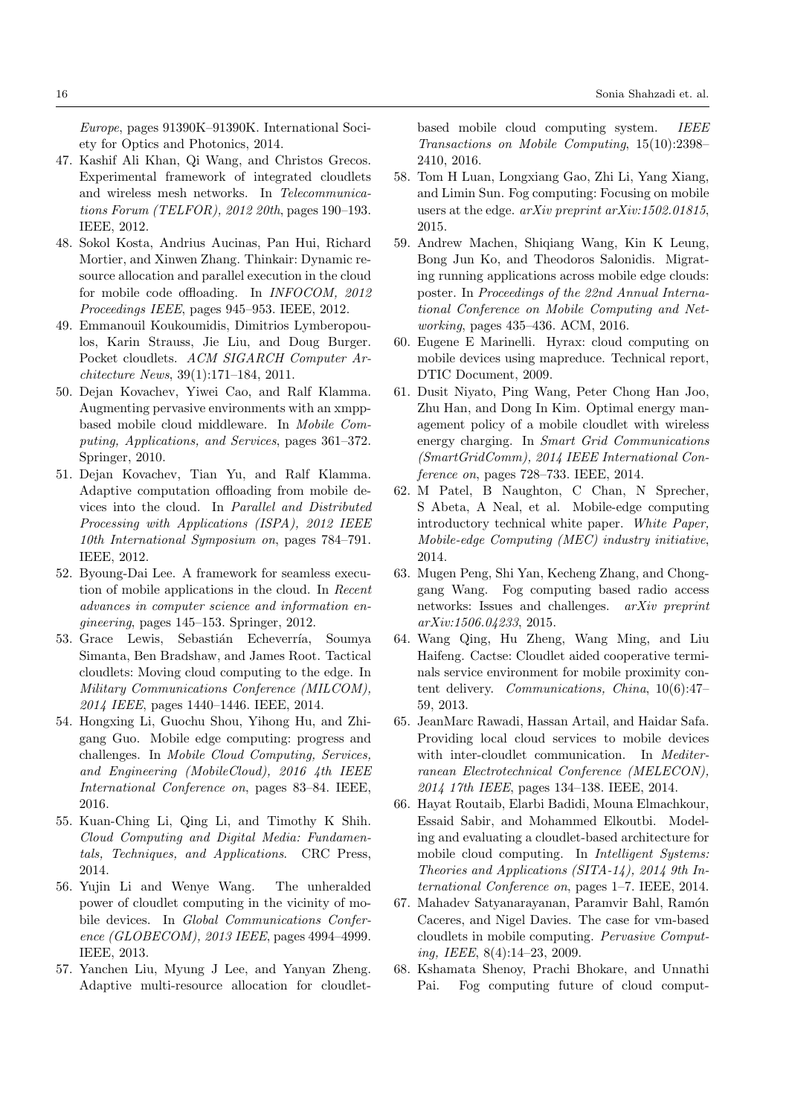Europe, pages 91390K–91390K. International Society for Optics and Photonics, 2014.

- <span id="page-15-4"></span>47. Kashif Ali Khan, Qi Wang, and Christos Grecos. Experimental framework of integrated cloudlets and wireless mesh networks. In Telecommunications Forum (TELFOR), 2012 20th, pages 190–193. IEEE, 2012.
- <span id="page-15-18"></span>48. Sokol Kosta, Andrius Aucinas, Pan Hui, Richard Mortier, and Xinwen Zhang. Thinkair: Dynamic resource allocation and parallel execution in the cloud for mobile code offloading. In INFOCOM, 2012 Proceedings IEEE, pages 945–953. IEEE, 2012.
- <span id="page-15-19"></span>49. Emmanouil Koukoumidis, Dimitrios Lymberopoulos, Karin Strauss, Jie Liu, and Doug Burger. Pocket cloudlets. ACM SIGARCH Computer Architecture News, 39(1):171–184, 2011.
- <span id="page-15-20"></span>50. Dejan Kovachev, Yiwei Cao, and Ralf Klamma. Augmenting pervasive environments with an xmppbased mobile cloud middleware. In Mobile Computing, Applications, and Services, pages 361–372. Springer, 2010.
- <span id="page-15-21"></span>51. Dejan Kovachev, Tian Yu, and Ralf Klamma. Adaptive computation offloading from mobile devices into the cloud. In Parallel and Distributed Processing with Applications (ISPA), 2012 IEEE 10th International Symposium on, pages 784–791. IEEE, 2012.
- <span id="page-15-17"></span>52. Byoung-Dai Lee. A framework for seamless execution of mobile applications in the cloud. In Recent advances in computer science and information engineering, pages 145–153. Springer, 2012.
- <span id="page-15-9"></span>53. Grace Lewis, Sebastián Echeverría, Soumya Simanta, Ben Bradshaw, and James Root. Tactical cloudlets: Moving cloud computing to the edge. In Military Communications Conference (MILCOM), 2014 IEEE, pages 1440–1446. IEEE, 2014.
- <span id="page-15-3"></span>54. Hongxing Li, Guochu Shou, Yihong Hu, and Zhigang Guo. Mobile edge computing: progress and challenges. In Mobile Cloud Computing, Services, and Engineering (MobileCloud), 2016 4th IEEE International Conference on, pages 83–84. IEEE, 2016.
- <span id="page-15-1"></span>55. Kuan-Ching Li, Qing Li, and Timothy K Shih. Cloud Computing and Digital Media: Fundamentals, Techniques, and Applications. CRC Press, 2014.
- <span id="page-15-6"></span>56. Yujin Li and Wenye Wang. The unheralded power of cloudlet computing in the vicinity of mobile devices. In Global Communications Conference (GLOBECOM), 2013 IEEE, pages 4994–4999. IEEE, 2013.
- <span id="page-15-10"></span>57. Yanchen Liu, Myung J Lee, and Yanyan Zheng. Adaptive multi-resource allocation for cloudlet-

based mobile cloud computing system. IEEE Transactions on Mobile Computing, 15(10):2398– 2410, 2016.

- <span id="page-15-12"></span>58. Tom H Luan, Longxiang Gao, Zhi Li, Yang Xiang, and Limin Sun. Fog computing: Focusing on mobile users at the edge. arXiv preprint arXiv:1502.01815, 2015.
- <span id="page-15-2"></span>59. Andrew Machen, Shiqiang Wang, Kin K Leung, Bong Jun Ko, and Theodoros Salonidis. Migrating running applications across mobile edge clouds: poster. In Proceedings of the 22nd Annual International Conference on Mobile Computing and Networking, pages 435–436. ACM, 2016.
- <span id="page-15-14"></span>60. Eugene E Marinelli. Hyrax: cloud computing on mobile devices using mapreduce. Technical report, DTIC Document, 2009.
- <span id="page-15-8"></span>61. Dusit Niyato, Ping Wang, Peter Chong Han Joo, Zhu Han, and Dong In Kim. Optimal energy management policy of a mobile cloudlet with wireless energy charging. In Smart Grid Communications (SmartGridComm), 2014 IEEE International Conference on, pages 728–733. IEEE, 2014.
- <span id="page-15-0"></span>62. M Patel, B Naughton, C Chan, N Sprecher, S Abeta, A Neal, et al. Mobile-edge computing introductory technical white paper. White Paper, Mobile-edge Computing (MEC) industry initiative, 2014.
- <span id="page-15-13"></span>63. Mugen Peng, Shi Yan, Kecheng Zhang, and Chonggang Wang. Fog computing based radio access networks: Issues and challenges. arXiv preprint arXiv:1506.04233, 2015.
- <span id="page-15-16"></span>64. Wang Qing, Hu Zheng, Wang Ming, and Liu Haifeng. Cactse: Cloudlet aided cooperative terminals service environment for mobile proximity content delivery. Communications, China, 10(6):47– 59, 2013.
- <span id="page-15-7"></span>65. JeanMarc Rawadi, Hassan Artail, and Haidar Safa. Providing local cloud services to mobile devices with inter-cloudlet communication. In Mediterranean Electrotechnical Conference (MELECON), 2014 17th IEEE, pages 134–138. IEEE, 2014.
- <span id="page-15-5"></span>66. Hayat Routaib, Elarbi Badidi, Mouna Elmachkour, Essaid Sabir, and Mohammed Elkoutbi. Modeling and evaluating a cloudlet-based architecture for mobile cloud computing. In Intelligent Systems: Theories and Applications (SITA-14), 2014 9th International Conference on, pages 1–7. IEEE, 2014.
- <span id="page-15-15"></span>67. Mahadev Satyanarayanan, Paramvir Bahl, Ramón Caceres, and Nigel Davies. The case for vm-based cloudlets in mobile computing. Pervasive Computing, IEEE, 8(4):14–23, 2009.
- <span id="page-15-11"></span>68. Kshamata Shenoy, Prachi Bhokare, and Unnathi Pai. Fog computing future of cloud comput-